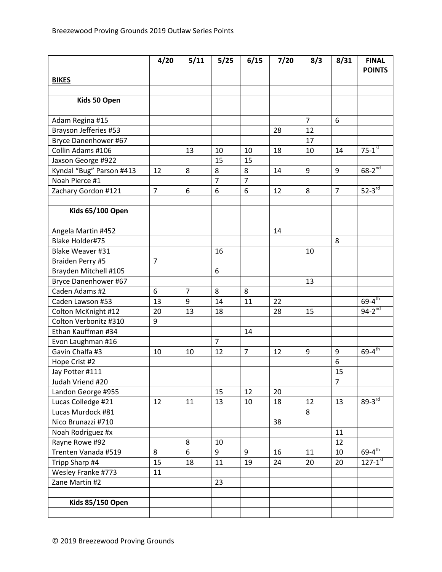|                          | 4/20           | 5/11           | 5/25           | 6/15           | 7/20 | 8/3            | 8/31           | <b>FINAL</b><br><b>POINTS</b> |
|--------------------------|----------------|----------------|----------------|----------------|------|----------------|----------------|-------------------------------|
| <b>BIKES</b>             |                |                |                |                |      |                |                |                               |
|                          |                |                |                |                |      |                |                |                               |
| Kids 50 Open             |                |                |                |                |      |                |                |                               |
|                          |                |                |                |                |      |                |                |                               |
| Adam Regina #15          |                |                |                |                |      | $\overline{7}$ | 6              |                               |
| Brayson Jefferies #53    |                |                |                |                | 28   | 12             |                |                               |
| Bryce Danenhower #67     |                |                |                |                |      | 17             |                |                               |
| Collin Adams #106        |                | 13             | 10             | 10             | 18   | 10             | 14             | $75-1$ <sup>st</sup>          |
| Jaxson George #922       |                |                | 15             | 15             |      |                |                |                               |
| Kyndal "Bug" Parson #413 | 12             | 8              | 8              | 8              | 14   | 9              | 9              | $68 - 2^{nd}$                 |
| Noah Pierce #1           |                |                | $\overline{7}$ | $\overline{7}$ |      |                |                |                               |
| Zachary Gordon #121      | $\overline{7}$ | 6              | 6              | 6              | 12   | 8              | $\overline{7}$ | $52 - 3$ rd                   |
|                          |                |                |                |                |      |                |                |                               |
| <b>Kids 65/100 Open</b>  |                |                |                |                |      |                |                |                               |
|                          |                |                |                |                |      |                |                |                               |
| Angela Martin #452       |                |                |                |                | 14   |                |                |                               |
| <b>Blake Holder#75</b>   |                |                |                |                |      |                | 8              |                               |
| Blake Weaver #31         |                |                | 16             |                |      | 10             |                |                               |
| Braiden Perry #5         | $\overline{7}$ |                |                |                |      |                |                |                               |
| Brayden Mitchell #105    |                |                | 6              |                |      |                |                |                               |
| Bryce Danenhower #67     |                |                |                |                |      | 13             |                |                               |
| Caden Adams #2           | 6              | $\overline{7}$ | 8              | 8              |      |                |                |                               |
| Caden Lawson #53         | 13             | 9              | 14             | 11             | 22   |                |                | $69 - 4$ <sup>th</sup>        |
| Colton McKnight #12      | 20             | 13             | 18             |                | 28   | 15             |                | $94-2^{nd}$                   |
| Colton Verbonitz #310    | 9              |                |                |                |      |                |                |                               |
| Ethan Kauffman #34       |                |                |                | 14             |      |                |                |                               |
| Evon Laughman #16        |                |                | $\overline{7}$ |                |      |                |                |                               |
| Gavin Chalfa #3          | 10             | 10             | 12             | $\overline{7}$ | 12   | 9              | 9              | $69 - 4$ th                   |
| Hope Crist #2            |                |                |                |                |      |                | 6              |                               |
| Jay Potter #111          |                |                |                |                |      |                | 15             |                               |
| Judah Vriend #20         |                |                |                |                |      |                | 7              |                               |
| Landon George #955       |                |                | 15             | 12             | 20   |                |                |                               |
| Lucas Colledge #21       | 12             | 11             | 13             | 10             | 18   | 12             | 13             | $89-3$ <sup>rd</sup>          |
| Lucas Murdock #81        |                |                |                |                |      | 8              |                |                               |
| Nico Brunazzi #710       |                |                |                |                | 38   |                |                |                               |
| Noah Rodriguez #x        |                |                |                |                |      |                | 11             |                               |
| Rayne Rowe #92           |                | 8              | 10             |                |      |                | 12             |                               |
| Trenten Vanada #519      | 8              | 6              | 9              | 9              | 16   | 11             | 10             | $69 - 4$ <sup>th</sup>        |
| Tripp Sharp #4           | 15             | 18             | 11             | 19             | 24   | 20             | 20             | $127 - 1^{st}$                |
| Wesley Franke #773       | 11             |                |                |                |      |                |                |                               |
| Zane Martin #2           |                |                | 23             |                |      |                |                |                               |
|                          |                |                |                |                |      |                |                |                               |
| <b>Kids 85/150 Open</b>  |                |                |                |                |      |                |                |                               |
|                          |                |                |                |                |      |                |                |                               |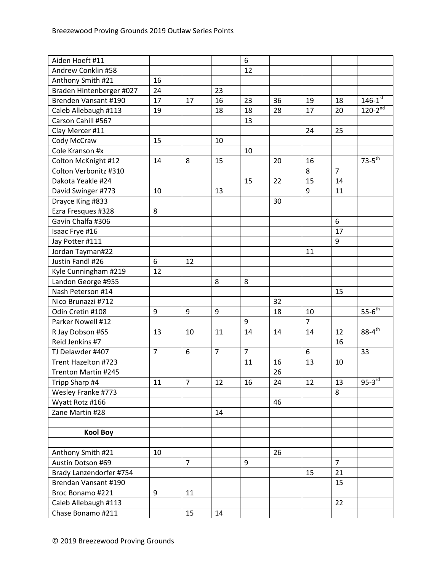| Aiden Hoeft #11          |                |                |                | 6              |    |                |                |                        |
|--------------------------|----------------|----------------|----------------|----------------|----|----------------|----------------|------------------------|
| Andrew Conklin #58       |                |                |                | 12             |    |                |                |                        |
| Anthony Smith #21        | 16             |                |                |                |    |                |                |                        |
| Braden Hintenberger #027 | 24             |                | 23             |                |    |                |                |                        |
| Brenden Vansant #190     | 17             | 17             | 16             | 23             | 36 | 19             | 18             | $146 - 1^{st}$         |
| Caleb Allebaugh #113     | 19             |                | 18             | 18             | 28 | 17             | 20             | $120-2^{nd}$           |
| Carson Cahill #567       |                |                |                | 13             |    |                |                |                        |
| Clay Mercer #11          |                |                |                |                |    | 24             | 25             |                        |
| Cody McCraw              | 15             |                | 10             |                |    |                |                |                        |
| Cole Kranson #x          |                |                |                | 10             |    |                |                |                        |
| Colton McKnight #12      | 14             | 8              | 15             |                | 20 | 16             |                | $73-5$ <sup>th</sup>   |
| Colton Verbonitz #310    |                |                |                |                |    | 8              | $\overline{7}$ |                        |
| Dakota Yeakle #24        |                |                |                | 15             | 22 | 15             | 14             |                        |
| David Swinger #773       | 10             |                | 13             |                |    | 9              | 11             |                        |
| Drayce King #833         |                |                |                |                | 30 |                |                |                        |
| Ezra Fresques #328       | 8              |                |                |                |    |                |                |                        |
| Gavin Chalfa #306        |                |                |                |                |    |                | 6              |                        |
| Isaac Frye #16           |                |                |                |                |    |                | 17             |                        |
| Jay Potter #111          |                |                |                |                |    |                | 9              |                        |
| Jordan Tayman#22         |                |                |                |                |    | 11             |                |                        |
| Justin Fandl #26         | 6              | 12             |                |                |    |                |                |                        |
| Kyle Cunningham #219     | 12             |                |                |                |    |                |                |                        |
| Landon George #955       |                |                | 8              | 8              |    |                |                |                        |
| Nash Peterson #14        |                |                |                |                |    |                | 15             |                        |
| Nico Brunazzi #712       |                |                |                |                | 32 |                |                |                        |
| Odin Cretin #108         | 9              | 9              | 9              |                | 18 | 10             |                | $55 - 6$ <sup>th</sup> |
| Parker Nowell #12        |                |                |                | 9              |    | $\overline{7}$ |                |                        |
| R Jay Dobson #65         | 13             | 10             | 11             | 14             | 14 | 14             | 12             | $88 - 4^{th}$          |
| Reid Jenkins #7          |                |                |                |                |    |                | 16             |                        |
| TJ Delawder #407         | $\overline{7}$ | 6              | $\overline{7}$ | $\overline{7}$ |    | 6              |                | 33                     |
| Trent Hazelton #723      |                |                |                | 11             | 16 | 13             | 10             |                        |
| Trenton Martin #245      |                |                |                |                | 26 |                |                |                        |
| Tripp Sharp #4           | 11             | $\overline{7}$ | 12             | 16             | 24 | 12             | 13             | $95-3$ <sup>rd</sup>   |
| Wesley Franke #773       |                |                |                |                |    |                | 8              |                        |
| Wyatt Rotz #166          |                |                |                |                | 46 |                |                |                        |
| Zane Martin #28          |                |                | 14             |                |    |                |                |                        |
|                          |                |                |                |                |    |                |                |                        |
| <b>Kool Boy</b>          |                |                |                |                |    |                |                |                        |
|                          |                |                |                |                |    |                |                |                        |
| Anthony Smith #21        | 10             |                |                |                | 26 |                |                |                        |
| Austin Dotson #69        |                | $\overline{7}$ |                | 9              |    |                | $\overline{7}$ |                        |
| Brady Lanzendorfer #754  |                |                |                |                |    | 15             | 21             |                        |
| Brendan Vansant #190     |                |                |                |                |    |                | 15             |                        |
| Broc Bonamo #221         | 9              | 11             |                |                |    |                |                |                        |
| Caleb Allebaugh #113     |                |                |                |                |    |                | 22             |                        |
| Chase Bonamo #211        |                | 15             | 14             |                |    |                |                |                        |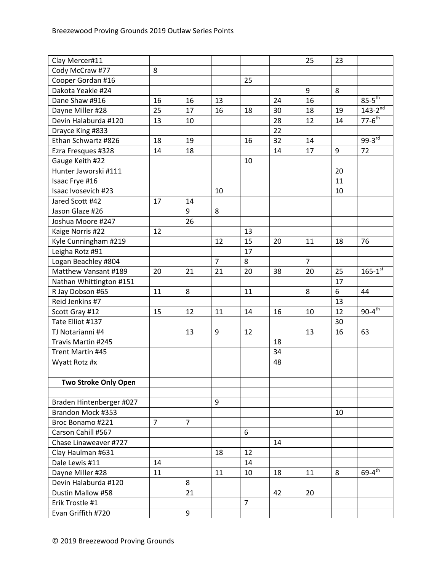| Clay Mercer#11           |                |                |                |                |    | 25             | 23 |                        |
|--------------------------|----------------|----------------|----------------|----------------|----|----------------|----|------------------------|
| Cody McCraw #77          | 8              |                |                |                |    |                |    |                        |
| Cooper Gordan #16        |                |                |                | 25             |    |                |    |                        |
| Dakota Yeakle #24        |                |                |                |                |    | 9              | 8  |                        |
| Dane Shaw #916           | 16             | 16             | 13             |                | 24 | 16             |    | $85-5$ <sup>th</sup>   |
| Dayne Miller #28         | 25             | 17             | 16             | 18             | 30 | 18             | 19 | $143 - 2^{nd}$         |
| Devin Halaburda #120     | 13             | 10             |                |                | 28 | 12             | 14 | $77 - 6$ <sup>th</sup> |
| Drayce King #833         |                |                |                |                | 22 |                |    |                        |
| Ethan Schwartz #826      | 18             | 19             |                | 16             | 32 | 14             |    | $99-3^{rd}$            |
| Ezra Fresques #328       | 14             | 18             |                |                | 14 | 17             | 9  | 72                     |
| Gauge Keith #22          |                |                |                | 10             |    |                |    |                        |
| Hunter Jaworski #111     |                |                |                |                |    |                | 20 |                        |
| Isaac Frye #16           |                |                |                |                |    |                | 11 |                        |
| Isaac Ivosevich #23      |                |                | 10             |                |    |                | 10 |                        |
| Jared Scott #42          | 17             | 14             |                |                |    |                |    |                        |
| Jason Glaze #26          |                | 9              | 8              |                |    |                |    |                        |
| Joshua Moore #247        |                | 26             |                |                |    |                |    |                        |
| Kaige Norris #22         | 12             |                |                | 13             |    |                |    |                        |
| Kyle Cunningham #219     |                |                | 12             | 15             | 20 | 11             | 18 | 76                     |
| Leigha Rotz #91          |                |                |                | 17             |    |                |    |                        |
| Logan Beachley #804      |                |                | $\overline{7}$ | 8              |    | $\overline{7}$ |    |                        |
| Matthew Vansant #189     | 20             | 21             | 21             | 20             | 38 | 20             | 25 | $165 - 1^{st}$         |
| Nathan Whittington #151  |                |                |                |                |    |                | 17 |                        |
| R Jay Dobson #65         | 11             | 8              |                | 11             |    | 8              | 6  | 44                     |
| Reid Jenkins #7          |                |                |                |                |    |                | 13 |                        |
| Scott Gray #12           | 15             | 12             | 11             | 14             | 16 | 10             | 12 | $90-4^{\overline{th}}$ |
| Tate Elliot #137         |                |                |                |                |    |                | 30 |                        |
| TJ Notarianni #4         |                | 13             | 9              | 12             |    | 13             | 16 | 63                     |
| Travis Martin #245       |                |                |                |                | 18 |                |    |                        |
| Trent Martin #45         |                |                |                |                | 34 |                |    |                        |
| Wyatt Rotz #x            |                |                |                |                | 48 |                |    |                        |
|                          |                |                |                |                |    |                |    |                        |
| Two Stroke Only Open     |                |                |                |                |    |                |    |                        |
|                          |                |                |                |                |    |                |    |                        |
| Braden Hintenberger #027 |                |                | 9              |                |    |                |    |                        |
| Brandon Mock #353        |                |                |                |                |    |                | 10 |                        |
| Broc Bonamo #221         | $\overline{7}$ | $\overline{7}$ |                |                |    |                |    |                        |
| Carson Cahill #567       |                |                |                | 6              |    |                |    |                        |
| Chase Linaweaver #727    |                |                |                |                | 14 |                |    |                        |
| Clay Haulman #631        |                |                | 18             | 12             |    |                |    |                        |
| Dale Lewis #11           | 14             |                |                | 14             |    |                |    |                        |
| Dayne Miller #28         | 11             |                | 11             | 10             | 18 | 11             | 8  | $69-4^{\text{th}}$     |
| Devin Halaburda #120     |                | 8              |                |                |    |                |    |                        |
| Dustin Mallow #58        |                | 21             |                |                | 42 | 20             |    |                        |
| Erik Trostle #1          |                |                |                |                |    |                |    |                        |
|                          |                |                |                | $\overline{7}$ |    |                |    |                        |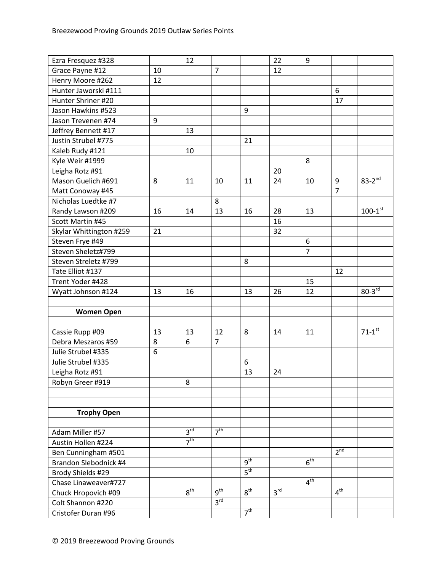| Ezra Fresquez #328      |    | 12              |                 |                 | 22              | 9               |                 |                         |
|-------------------------|----|-----------------|-----------------|-----------------|-----------------|-----------------|-----------------|-------------------------|
| Grace Payne #12         | 10 |                 | $\overline{7}$  |                 | 12              |                 |                 |                         |
| Henry Moore #262        | 12 |                 |                 |                 |                 |                 |                 |                         |
| Hunter Jaworski #111    |    |                 |                 |                 |                 |                 | 6               |                         |
| Hunter Shriner #20      |    |                 |                 |                 |                 |                 | 17              |                         |
| Jason Hawkins #523      |    |                 |                 | 9               |                 |                 |                 |                         |
| Jason Trevenen #74      | 9  |                 |                 |                 |                 |                 |                 |                         |
| Jeffrey Bennett #17     |    | 13              |                 |                 |                 |                 |                 |                         |
| Justin Strubel #775     |    |                 |                 | 21              |                 |                 |                 |                         |
| Kaleb Rudy #121         |    | 10              |                 |                 |                 |                 |                 |                         |
| Kyle Weir #1999         |    |                 |                 |                 |                 | 8               |                 |                         |
| Leigha Rotz #91         |    |                 |                 |                 | 20              |                 |                 |                         |
| Mason Guelich #691      | 8  | 11              | 10              | 11              | 24              | 10              | 9               | $83 - 2^{nd}$           |
| Matt Conoway #45        |    |                 |                 |                 |                 |                 | $\overline{7}$  |                         |
| Nicholas Luedtke #7     |    |                 | 8               |                 |                 |                 |                 |                         |
| Randy Lawson #209       | 16 | 14              | 13              | 16              | 28              | 13              |                 | $100 - 1$ <sup>st</sup> |
| Scott Martin #45        |    |                 |                 |                 | 16              |                 |                 |                         |
| Skylar Whittington #259 | 21 |                 |                 |                 | 32              |                 |                 |                         |
| Steven Frye #49         |    |                 |                 |                 |                 | 6               |                 |                         |
| Steven Sheletz#799      |    |                 |                 |                 |                 | $\overline{7}$  |                 |                         |
| Steven Streletz #799    |    |                 |                 | 8               |                 |                 |                 |                         |
| Tate Elliot #137        |    |                 |                 |                 |                 |                 | 12              |                         |
| Trent Yoder #428        |    |                 |                 |                 |                 | 15              |                 |                         |
| Wyatt Johnson #124      | 13 | 16              |                 | 13              | 26              | 12              |                 | $80-3rd$                |
|                         |    |                 |                 |                 |                 |                 |                 |                         |
| <b>Women Open</b>       |    |                 |                 |                 |                 |                 |                 |                         |
|                         |    |                 |                 |                 |                 |                 |                 |                         |
| Cassie Rupp #09         | 13 | 13              | 12              | 8               | 14              | 11              |                 | $71-1$ <sup>st</sup>    |
| Debra Meszaros #59      | 8  | 6               | $\overline{7}$  |                 |                 |                 |                 |                         |
| Julie Strubel #335      | 6  |                 |                 |                 |                 |                 |                 |                         |
| Julie Strubel #335      |    |                 |                 | 6               |                 |                 |                 |                         |
| Leigha Rotz #91         |    |                 |                 | 13              | 24              |                 |                 |                         |
| Robyn Greer #919        |    | 8               |                 |                 |                 |                 |                 |                         |
|                         |    |                 |                 |                 |                 |                 |                 |                         |
|                         |    |                 |                 |                 |                 |                 |                 |                         |
| <b>Trophy Open</b>      |    |                 |                 |                 |                 |                 |                 |                         |
|                         |    |                 |                 |                 |                 |                 |                 |                         |
| Adam Miller #57         |    | 3 <sup>rd</sup> | 7 <sup>th</sup> |                 |                 |                 |                 |                         |
| Austin Hollen #224      |    | 7 <sup>th</sup> |                 |                 |                 |                 |                 |                         |
| Ben Cunningham #501     |    |                 |                 |                 |                 |                 | $2^{nd}$        |                         |
| Brandon Slebodnick #4   |    |                 |                 | 9 <sup>th</sup> |                 | 6 <sup>th</sup> |                 |                         |
| Brody Shields #29       |    |                 |                 |                 |                 |                 |                 |                         |
|                         |    |                 |                 | 5 <sup>th</sup> |                 |                 |                 |                         |
| Chase Linaweaver#727    |    |                 |                 |                 |                 | 4 <sup>th</sup> |                 |                         |
| Chuck Hropovich #09     |    | 8 <sup>th</sup> | $q^{th}$        | 8 <sup>th</sup> | 3 <sup>rd</sup> |                 | 4 <sup>th</sup> |                         |
| Colt Shannon #220       |    |                 | 3 <sup>rd</sup> | 7 <sup>th</sup> |                 |                 |                 |                         |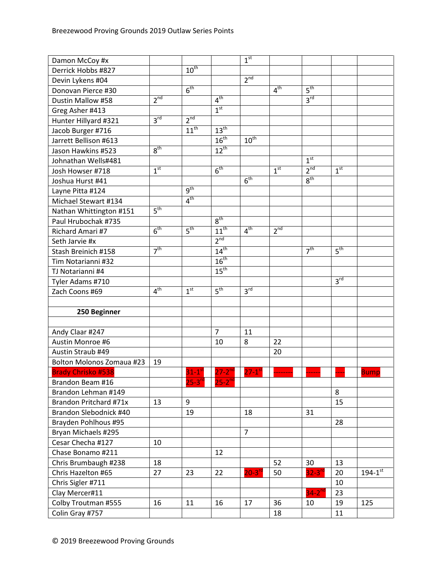| Damon McCoy #x                   |                 |                      |                      | 1 <sup>st</sup>       |                 |                      |                 |                |
|----------------------------------|-----------------|----------------------|----------------------|-----------------------|-----------------|----------------------|-----------------|----------------|
| Derrick Hobbs #827               |                 | $10^{th}$            |                      |                       |                 |                      |                 |                |
| Devin Lykens #04                 |                 |                      |                      | 2 <sup>nd</sup>       |                 |                      |                 |                |
| Donovan Pierce #30               |                 | 6 <sup>th</sup>      |                      |                       | 4 <sup>th</sup> | 5 <sup>th</sup>      |                 |                |
| Dustin Mallow #58                | $2^{nd}$        |                      | 4 <sup>th</sup>      |                       |                 | 3 <sup>rd</sup>      |                 |                |
| Greg Asher #413                  |                 |                      | 1 <sup>st</sup>      |                       |                 |                      |                 |                |
| Hunter Hillyard #321             | 3 <sup>rd</sup> | 2 <sup>nd</sup>      |                      |                       |                 |                      |                 |                |
| Jacob Burger #716                |                 | $11^{th}$            | 13 <sup>th</sup>     |                       |                 |                      |                 |                |
| Jarrett Bellison #613            |                 |                      | 16 <sup>th</sup>     | $10^{\text{th}}$      |                 |                      |                 |                |
| Jason Hawkins #523               | 8 <sup>th</sup> |                      | $12^{th}$            |                       |                 |                      |                 |                |
| Johnathan Wells#481              |                 |                      |                      |                       |                 | 1 <sup>st</sup>      |                 |                |
| Josh Howser #718                 | 1 <sup>st</sup> |                      | 6 <sup>th</sup>      |                       | 1 <sup>st</sup> | 2 <sup>nd</sup>      | 1 <sup>st</sup> |                |
| Joshua Hurst #41                 |                 |                      |                      | 6 <sup>th</sup>       |                 | 8 <sup>th</sup>      |                 |                |
| Layne Pitta #124                 |                 | 9 <sup>th</sup>      |                      |                       |                 |                      |                 |                |
| Michael Stewart #134             |                 | 4 <sup>th</sup>      |                      |                       |                 |                      |                 |                |
| Nathan Whittington #151          | 5 <sup>th</sup> |                      |                      |                       |                 |                      |                 |                |
| Paul Hrubochak #735              |                 |                      | 8 <sup>th</sup>      |                       |                 |                      |                 |                |
| Richard Amari #7                 | 6 <sup>th</sup> | 5 <sup>th</sup>      | $11^{th}$            | 4 <sup>th</sup>       | $2^{nd}$        |                      |                 |                |
| Seth Jarvie #x                   |                 |                      | 2 <sup>nd</sup>      |                       |                 |                      |                 |                |
| Stash Breinich #158              | 7 <sup>th</sup> |                      | 14 <sup>th</sup>     |                       |                 | 7 <sup>th</sup>      | 5 <sup>th</sup> |                |
| Tim Notarianni #32               |                 |                      | 16 <sup>th</sup>     |                       |                 |                      |                 |                |
| TJ Notarianni #4                 |                 |                      | 15 <sup>th</sup>     |                       |                 |                      |                 |                |
| Tyler Adams #710                 |                 |                      |                      |                       |                 |                      | 3 <sup>rd</sup> |                |
| Zach Coons #69                   | 4 <sup>th</sup> | 1 <sup>st</sup>      | 5 <sup>th</sup>      | 3 <sup>rd</sup>       |                 |                      |                 |                |
|                                  |                 |                      |                      |                       |                 |                      |                 |                |
| 250 Beginner                     |                 |                      |                      |                       |                 |                      |                 |                |
|                                  |                 |                      |                      |                       |                 |                      |                 |                |
| Andy Claar #247                  |                 |                      | $\overline{7}$       | 11                    |                 |                      |                 |                |
| Austin Monroe #6                 |                 |                      | 10                   | 8                     | 22              |                      |                 |                |
| Austin Straub #49                |                 |                      |                      |                       | 20              |                      |                 |                |
| <b>Bolton Molonos Zomaua #23</b> | 19              |                      |                      |                       |                 |                      |                 |                |
| <b>Brady Chrisko #538</b>        |                 | $31-1$ <sup>st</sup> | $27 - 2^{nd}$        | $27 - 1$ <sup>s</sup> |                 |                      |                 | <b>Bump</b>    |
| Brandon Beam #16                 |                 | $25 - 3^{rd}$        | $25-2$ <sup>nd</sup> |                       |                 |                      |                 |                |
| Brandon Lehman #149              |                 |                      |                      |                       |                 |                      | 8               |                |
| Brandon Pritchard #71x           | 13              | 9                    |                      |                       |                 |                      | 15              |                |
| Brandon Slebodnick #40           |                 | 19                   |                      | 18                    |                 | 31                   |                 |                |
| Brayden Pohlhous #95             |                 |                      |                      |                       |                 |                      | 28              |                |
| Bryan Michaels #295              |                 |                      |                      | 7                     |                 |                      |                 |                |
| Cesar Checha #127                | 10              |                      |                      |                       |                 |                      |                 |                |
| Chase Bonamo #211                |                 |                      | 12                   |                       |                 |                      |                 |                |
| Chris Brumbaugh #238             | 18              |                      |                      |                       | 52              | 30                   | 13              |                |
| Chris Hazelton #65               | 27              | 23                   | 22                   | $20-3$ <sup>rd</sup>  | 50              | $32-3$ <sup>rd</sup> | 20              | $194 - 1^{st}$ |
| Chris Sigler #711                |                 |                      |                      |                       |                 |                      | 10              |                |
| Clay Mercer#11                   |                 |                      |                      |                       |                 |                      |                 |                |
|                                  |                 |                      |                      |                       |                 | $34-2$ <sup>nd</sup> | 23              |                |
| Colby Troutman #555              | 16              | 11                   | 16                   | 17                    | 36              | 10                   | 19              | 125            |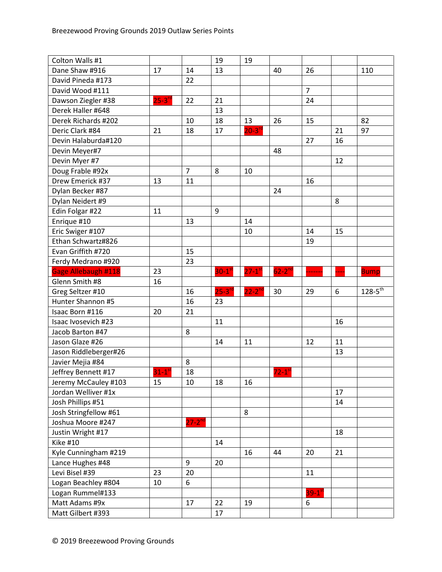| Colton Walls #1            |                      |                | 19                   | 19                   |                     |                |    |                |
|----------------------------|----------------------|----------------|----------------------|----------------------|---------------------|----------------|----|----------------|
| Dane Shaw #916             | 17                   | 14             | 13                   |                      | 40                  | 26             |    | 110            |
| David Pineda #173          |                      | 22             |                      |                      |                     |                |    |                |
| David Wood #111            |                      |                |                      |                      |                     | $\overline{7}$ |    |                |
| Dawson Ziegler #38         | $25-3^{rd}$          | 22             | 21                   |                      |                     | 24             |    |                |
| Derek Haller #648          |                      |                | 13                   |                      |                     |                |    |                |
| Derek Richards #202        |                      | 10             | 18                   | 13                   | 26                  | 15             |    | 82             |
| Deric Clark #84            | 21                   | 18             | 17                   | $20 - 3^{rd}$        |                     |                | 21 | 97             |
| Devin Halaburda#120        |                      |                |                      |                      |                     | 27             | 16 |                |
| Devin Meyer#7              |                      |                |                      |                      | 48                  |                |    |                |
| Devin Myer #7              |                      |                |                      |                      |                     |                | 12 |                |
| Doug Frable #92x           |                      | $\overline{7}$ | 8                    | 10                   |                     |                |    |                |
| Drew Emerick #37           | 13                   | 11             |                      |                      |                     | 16             |    |                |
| Dylan Becker #87           |                      |                |                      |                      | 24                  |                |    |                |
| Dylan Neidert #9           |                      |                |                      |                      |                     |                | 8  |                |
| Edin Folgar #22            | 11                   |                | 9                    |                      |                     |                |    |                |
| Enrique #10                |                      | 13             |                      | 14                   |                     |                |    |                |
| Eric Swiger #107           |                      |                |                      | 10                   |                     | 14             | 15 |                |
| Ethan Schwartz#826         |                      |                |                      |                      |                     | 19             |    |                |
| Evan Griffith #720         |                      | 15             |                      |                      |                     |                |    |                |
| Ferdy Medrano #920         |                      | 23             |                      |                      |                     |                |    |                |
| <b>Gage Allebaugh #118</b> | 23                   |                | $30-1$ <sup>st</sup> | $27-1$ <sup>st</sup> | $62 - 2nd$          |                |    | <b>Bump</b>    |
| Glenn Smith #8             | 16                   |                |                      |                      |                     |                |    |                |
|                            |                      |                |                      |                      |                     |                |    |                |
| Greg Seltzer #10           |                      | 16             | $25 - 3^{rc}$        | $22 - 2^{nd}$        | 30                  | 29             | 6  | $128 - 5^{th}$ |
| Hunter Shannon #5          |                      | 16             | 23                   |                      |                     |                |    |                |
| Isaac Born #116            | 20                   | 21             |                      |                      |                     |                |    |                |
| Isaac Ivosevich #23        |                      |                | 11                   |                      |                     |                | 16 |                |
| Jacob Barton #47           |                      | 8              |                      |                      |                     |                |    |                |
| Jason Glaze #26            |                      |                | 14                   | 11                   |                     | 12             | 11 |                |
| Jason Riddleberger#26      |                      |                |                      |                      |                     |                | 13 |                |
| Javier Mejia #84           |                      | 8              |                      |                      |                     |                |    |                |
| Jeffrey Bennett #17        | $31-1$ <sup>st</sup> | 18             |                      |                      | $72-1$ <sup>s</sup> |                |    |                |
| Jeremy McCauley #103       | 15                   | 10             | 18                   | 16                   |                     |                |    |                |
| Jordan Welliver #1x        |                      |                |                      |                      |                     |                | 17 |                |
| Josh Phillips #51          |                      |                |                      |                      |                     |                | 14 |                |
| Josh Stringfellow #61      |                      |                |                      | 8                    |                     |                |    |                |
| Joshua Moore #247          |                      | $27 - 2^{nd}$  |                      |                      |                     |                |    |                |
| Justin Wright #17          |                      |                |                      |                      |                     |                | 18 |                |
| <b>Kike #10</b>            |                      |                | 14                   |                      |                     |                |    |                |
| Kyle Cunningham #219       |                      |                |                      | 16                   | 44                  | 20             | 21 |                |
| Lance Hughes #48           |                      | 9              | 20                   |                      |                     |                |    |                |
| Levi Bisel #39             | 23                   | 20             |                      |                      |                     | 11             |    |                |
| Logan Beachley #804        | 10                   | 6              |                      |                      |                     |                |    |                |
| Logan Rummel#133           |                      |                |                      |                      |                     | $39 - 1^{s}$   |    |                |
| Matt Adams #9x             |                      | 17             | 22                   | 19                   |                     | 6              |    |                |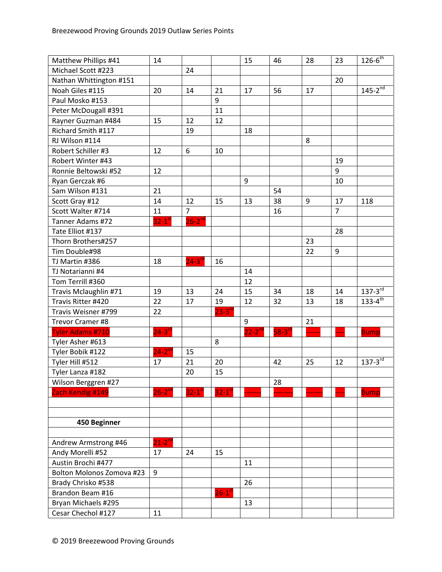| Matthew Phillips #41      | 14                     |                      |                       | 15          | 46       | 28 | 23             | $126 - 6^{th}$ |
|---------------------------|------------------------|----------------------|-----------------------|-------------|----------|----|----------------|----------------|
| Michael Scott #223        |                        | 24                   |                       |             |          |    |                |                |
| Nathan Whittington #151   |                        |                      |                       |             |          |    | 20             |                |
| Noah Giles #115           | 20                     | 14                   | 21                    | 17          | 56       | 17 |                | $145 - 2^{nd}$ |
| Paul Mosko #153           |                        |                      | 9                     |             |          |    |                |                |
| Peter McDougall #391      |                        |                      | 11                    |             |          |    |                |                |
| Rayner Guzman #484        | 15                     | 12                   | 12                    |             |          |    |                |                |
| Richard Smith #117        |                        | 19                   |                       | 18          |          |    |                |                |
| RJ Wilson #114            |                        |                      |                       |             |          | 8  |                |                |
| Robert Schiller #3        | 12                     | 6                    | 10                    |             |          |    |                |                |
| Robert Winter #43         |                        |                      |                       |             |          |    | 19             |                |
| Ronnie Beltowski #52      | 12                     |                      |                       |             |          |    | 9              |                |
| Ryan Gerczak #6           |                        |                      |                       | 9           |          |    | 10             |                |
| Sam Wilson #131           | 21                     |                      |                       |             | 54       |    |                |                |
| Scott Gray #12            | 14                     | 12                   | 15                    | 13          | 38       | 9  | 17             | 118            |
| Scott Walter #714         | 11                     | $\overline{7}$       |                       |             | 16       |    | $\overline{7}$ |                |
| Tanner Adams #72          | $32 - 1$ <sup>st</sup> | $26 - 2^{nd}$        |                       |             |          |    |                |                |
| Tate Elliot #137          |                        |                      |                       |             |          |    | 28             |                |
| Thorn Brothers#257        |                        |                      |                       |             |          | 23 |                |                |
| Tim Double#98             |                        |                      |                       |             |          | 22 | 9              |                |
| TJ Martin #386            | 18                     | $24-3$ <sup>rd</sup> | 16                    |             |          |    |                |                |
| TJ Notarianni #4          |                        |                      |                       | 14          |          |    |                |                |
| Tom Terrill #360          |                        |                      |                       | 12          |          |    |                |                |
| Travis Mclaughlin #71     | 19                     | 13                   | 24                    | 15          | 34       | 18 | 14             | $137 - 3^{rd}$ |
| Travis Ritter #420        | 22                     | 17                   | 19                    | 12          | 32       | 13 | 18             | $133 - 4^{th}$ |
| Travis Weisner #799       | 22                     |                      | $23-3^{\circ}$        |             |          |    |                |                |
| Trevor Cramer #8          |                        |                      |                       | 9           |          | 21 |                |                |
| <b>Tyler Adams #710</b>   | $24-3$ <sup>rd</sup>   |                      |                       | $22-2^{nd}$ | $58-3rd$ |    |                | <b>Bump</b>    |
| Tyler Asher #613          |                        |                      | 8                     |             |          |    |                |                |
| Tyler Bobik #122          | $24-2^{nd}$            | 15                   |                       |             |          |    |                |                |
| Tyler Hill #512           | 17                     | 21                   | 20                    |             | 42       | 25 | 12             | $137 - 3^{rd}$ |
| Tyler Lanza #182          |                        | 20                   | 15                    |             |          |    |                |                |
| Wilson Berggren #27       |                        |                      |                       |             | 28       |    |                |                |
| Zach Kendig #149          | $26 - 2^{nd}$          | $32-1$ <sup>st</sup> | $32 - 1$ <sup>s</sup> |             |          |    |                | <b>Bump</b>    |
|                           |                        |                      |                       |             |          |    |                |                |
|                           |                        |                      |                       |             |          |    |                |                |
| 450 Beginner              |                        |                      |                       |             |          |    |                |                |
|                           |                        |                      |                       |             |          |    |                |                |
| Andrew Armstrong #46      | $21-2^{nd}$            |                      |                       |             |          |    |                |                |
| Andy Morelli #52          | 17                     | 24                   | 15                    |             |          |    |                |                |
| Austin Brochi #477        |                        |                      |                       | 11          |          |    |                |                |
| Bolton Molonos Zomova #23 | 9                      |                      |                       |             |          |    |                |                |
| Brady Chrisko #538        |                        |                      |                       | 26          |          |    |                |                |
| Brandon Beam #16          |                        |                      | $26-1$ <sup>st</sup>  |             |          |    |                |                |
| Bryan Michaels #295       |                        |                      |                       | 13          |          |    |                |                |
| Cesar Chechol #127        | 11                     |                      |                       |             |          |    |                |                |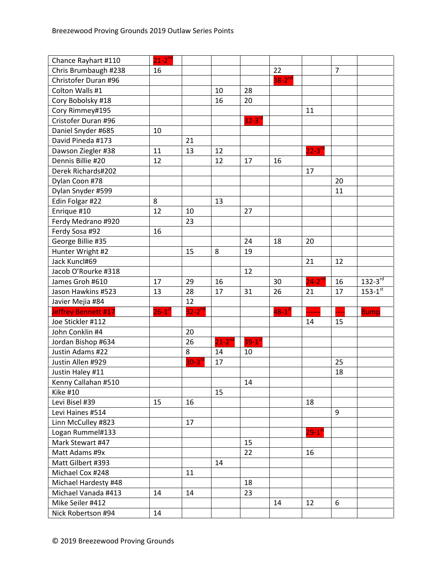| Chance Rayhart #110  | $21-2^{nd}$          |             |             |                      |                      |                      |                |                |
|----------------------|----------------------|-------------|-------------|----------------------|----------------------|----------------------|----------------|----------------|
| Chris Brumbaugh #238 | 16                   |             |             |                      | 22                   |                      | $\overline{7}$ |                |
| Christofer Duran #96 |                      |             |             |                      | $38-2$ <sup>nd</sup> |                      |                |                |
| Colton Walls #1      |                      |             | 10          | 28                   |                      |                      |                |                |
| Cory Bobolsky #18    |                      |             | 16          | 20                   |                      |                      |                |                |
| Cory Rimmey#195      |                      |             |             |                      |                      | 11                   |                |                |
| Cristofer Duran #96  |                      |             |             | $32-3$ <sup>rd</sup> |                      |                      |                |                |
| Daniel Snyder #685   | 10                   |             |             |                      |                      |                      |                |                |
| David Pineda #173    |                      | 21          |             |                      |                      |                      |                |                |
| Dawson Ziegler #38   | 11                   | 13          | 12          |                      |                      | $22 - 3^{19}$        |                |                |
| Dennis Billie #20    | 12                   |             | 12          | 17                   | 16                   |                      |                |                |
| Derek Richards#202   |                      |             |             |                      |                      | 17                   |                |                |
| Dylan Coon #78       |                      |             |             |                      |                      |                      | 20             |                |
| Dylan Snyder #599    |                      |             |             |                      |                      |                      | 11             |                |
| Edin Folgar #22      | 8                    |             | 13          |                      |                      |                      |                |                |
| Enrique #10          | 12                   | 10          |             | 27                   |                      |                      |                |                |
| Ferdy Medrano #920   |                      | 23          |             |                      |                      |                      |                |                |
| Ferdy Sosa #92       | 16                   |             |             |                      |                      |                      |                |                |
| George Billie #35    |                      |             |             | 24                   | 18                   | 20                   |                |                |
| Hunter Wright #2     |                      | 15          | 8           | 19                   |                      |                      |                |                |
| Jack Kuncl#69        |                      |             |             |                      |                      | 21                   | 12             |                |
| Jacob O'Rourke #318  |                      |             |             | 12                   |                      |                      |                |                |
| James Groh #610      | 17                   | 29          | 16          |                      | 30                   | $24-2$ <sup>nc</sup> | 16             | $132 - 3^{rd}$ |
| Jason Hawkins #523   | 13                   | 28          | 17          | 31                   | 26                   | 21                   | 17             | $153 - 1^{st}$ |
| Javier Mejia #84     |                      | 12          |             |                      |                      |                      |                |                |
| Jeffrey Bennett #17  | $26-1$ <sup>st</sup> | $32-2^{nd}$ |             |                      | $48-1$ <sup>st</sup> |                      |                | <b>Bump</b>    |
| Joe Stickler #112    |                      |             |             |                      |                      | 14                   | 15             |                |
| John Conklin #4      |                      | 20          |             |                      |                      |                      |                |                |
| Jordan Bishop #634   |                      | 26          | $21-2^{nd}$ | $39-1$ <sup>st</sup> |                      |                      |                |                |
| Justin Adams #22     |                      | 8           | 14          | 10                   |                      |                      |                |                |
| Justin Allen #929    |                      | $30-3rc$    | 17          |                      |                      |                      | 25             |                |
| Justin Haley #11     |                      |             |             |                      |                      |                      | 18             |                |
| Kenny Callahan #510  |                      |             |             | 14                   |                      |                      |                |                |
| <b>Kike #10</b>      |                      |             | 15          |                      |                      |                      |                |                |
| Levi Bisel #39       | 15                   | 16          |             |                      |                      | 18                   |                |                |
| Levi Haines #514     |                      |             |             |                      |                      |                      | 9              |                |
| Linn McCulley #823   |                      | 17          |             |                      |                      |                      |                |                |
| Logan Rummel#133     |                      |             |             |                      |                      | $29-1^{51}$          |                |                |
| Mark Stewart #47     |                      |             |             | 15                   |                      |                      |                |                |
| Matt Adams #9x       |                      |             |             | 22                   |                      | 16                   |                |                |
| Matt Gilbert #393    |                      |             | 14          |                      |                      |                      |                |                |
| Michael Cox #248     |                      | 11          |             |                      |                      |                      |                |                |
| Michael Hardesty #48 |                      |             |             | 18                   |                      |                      |                |                |
| Michael Vanada #413  | 14                   | 14          |             | 23                   |                      |                      |                |                |
| Mike Seiler #412     |                      |             |             |                      | 14                   | 12                   | 6              |                |
| Nick Robertson #94   | 14                   |             |             |                      |                      |                      |                |                |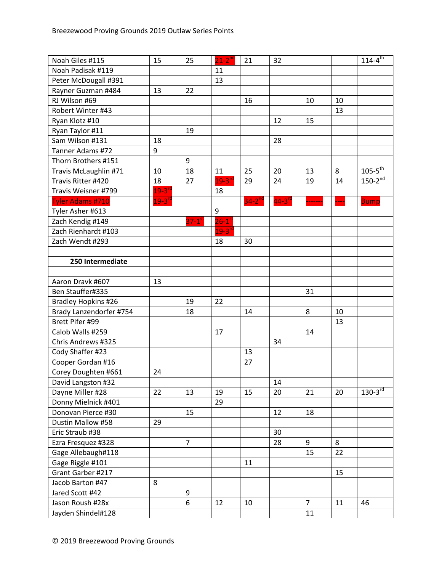| Noah Giles #115            | 15            | 25                   | $21 - 2^{nd}$        | 21            | 32                   |                |    | $114 - 4$ <sup>th</sup> |
|----------------------------|---------------|----------------------|----------------------|---------------|----------------------|----------------|----|-------------------------|
| Noah Padisak #119          |               |                      | 11                   |               |                      |                |    |                         |
| Peter McDougall #391       |               |                      | 13                   |               |                      |                |    |                         |
| Rayner Guzman #484         | 13            | 22                   |                      |               |                      |                |    |                         |
| RJ Wilson #69              |               |                      |                      | 16            |                      | 10             | 10 |                         |
| Robert Winter #43          |               |                      |                      |               |                      |                | 13 |                         |
| Ryan Klotz #10             |               |                      |                      |               | 12                   | 15             |    |                         |
| Ryan Taylor #11            |               | 19                   |                      |               |                      |                |    |                         |
| Sam Wilson #131            | 18            |                      |                      |               | 28                   |                |    |                         |
| Tanner Adams #72           | 9             |                      |                      |               |                      |                |    |                         |
| Thorn Brothers #151        |               | 9                    |                      |               |                      |                |    |                         |
| Travis McLaughlin #71      | 10            | 18                   | 11                   | 25            | 20                   | 13             | 8  | $105-5$ <sup>th</sup>   |
| Travis Ritter #420         | 18            | 27                   | $19 - 3n$            | 29            | 24                   | 19             | 14 | $150-2^{nd}$            |
| Travis Weisner #799        | $19 - 3^{rd}$ |                      | 18                   |               |                      |                |    |                         |
| <b>Tyler Adams #710</b>    | $19 - 3^{rd}$ |                      |                      | $34 - 2^{nd}$ | $44-3$ <sup>rd</sup> |                |    | <b>Bump</b>             |
| Tyler Asher #613           |               |                      | 9                    |               |                      |                |    |                         |
| Zach Kendig #149           |               | $37-1$ <sup>st</sup> | $26-1$ <sup>st</sup> |               |                      |                |    |                         |
| Zach Rienhardt #103        |               |                      | $19 - 3^{10}$        |               |                      |                |    |                         |
| Zach Wendt #293            |               |                      | 18                   | 30            |                      |                |    |                         |
|                            |               |                      |                      |               |                      |                |    |                         |
| 250 Intermediate           |               |                      |                      |               |                      |                |    |                         |
|                            |               |                      |                      |               |                      |                |    |                         |
| Aaron Dravk #607           | 13            |                      |                      |               |                      |                |    |                         |
| Ben Stauffer#335           |               |                      |                      |               |                      | 31             |    |                         |
| <b>Bradley Hopkins #26</b> |               | 19                   | 22                   |               |                      |                |    |                         |
| Brady Lanzendorfer #754    |               | 18                   |                      | 14            |                      | 8              | 10 |                         |
| Brett Pifer #99            |               |                      |                      |               |                      |                | 13 |                         |
| Calob Walls #259           |               |                      | 17                   |               |                      | 14             |    |                         |
| Chris Andrews #325         |               |                      |                      |               | 34                   |                |    |                         |
| Cody Shaffer #23           |               |                      |                      | 13            |                      |                |    |                         |
| Cooper Gordan #16          |               |                      |                      | 27            |                      |                |    |                         |
| Corey Doughten #661        | 24            |                      |                      |               |                      |                |    |                         |
| David Langston #32         |               |                      |                      |               | 14                   |                |    |                         |
| Dayne Miller #28           | 22            | 13                   | 19                   | 15            | 20                   | 21             | 20 | $130 - 3^{rd}$          |
| Donny Mielnick #401        |               |                      | 29                   |               |                      |                |    |                         |
| Donovan Pierce #30         |               | 15                   |                      |               | 12                   | 18             |    |                         |
| Dustin Mallow #58          | 29            |                      |                      |               |                      |                |    |                         |
| Eric Straub #38            |               |                      |                      |               | 30                   |                |    |                         |
| Ezra Fresquez #328         |               | $\overline{7}$       |                      |               | 28                   | 9              | 8  |                         |
| Gage Allebaugh#118         |               |                      |                      |               |                      | 15             | 22 |                         |
| Gage Riggle #101           |               |                      |                      | 11            |                      |                |    |                         |
| Grant Garber #217          |               |                      |                      |               |                      |                | 15 |                         |
| Jacob Barton #47           | 8             |                      |                      |               |                      |                |    |                         |
| Jared Scott #42            |               | 9                    |                      |               |                      |                |    |                         |
| Jason Roush #28x           |               | 6                    | 12                   | 10            |                      | $\overline{7}$ | 11 | 46                      |
| Jayden Shindel#128         |               |                      |                      |               |                      | 11             |    |                         |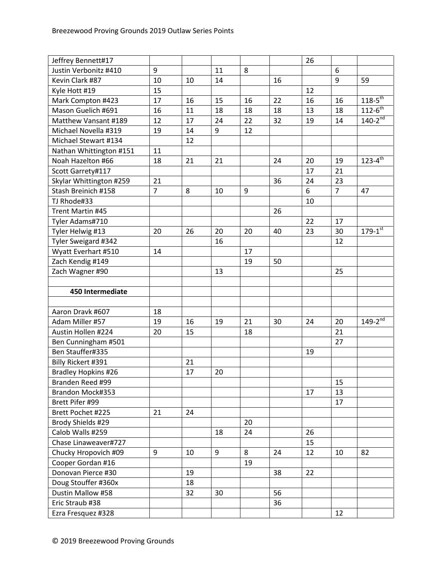| Jeffrey Bennett#17         |                |    |    |    |    | 26 |                |                       |
|----------------------------|----------------|----|----|----|----|----|----------------|-----------------------|
| Justin Verbonitz #410      | 9              |    | 11 | 8  |    |    | 6              |                       |
| Kevin Clark #87            | 10             | 10 | 14 |    | 16 |    | 9              | 59                    |
| Kyle Hott #19              | 15             |    |    |    |    | 12 |                |                       |
| Mark Compton #423          | 17             | 16 | 15 | 16 | 22 | 16 | 16             | $118 - 5^{th}$        |
| Mason Guelich #691         | 16             | 11 | 18 | 18 | 18 | 13 | 18             | $112 - 6^{th}$        |
| Matthew Vansant #189       | 12             | 17 | 24 | 22 | 32 | 19 | 14             | $140 - 2^{nd}$        |
| Michael Novella #319       | 19             | 14 | 9  | 12 |    |    |                |                       |
| Michael Stewart #134       |                | 12 |    |    |    |    |                |                       |
| Nathan Whittington #151    | 11             |    |    |    |    |    |                |                       |
| Noah Hazelton #66          | 18             | 21 | 21 |    | 24 | 20 | 19             | $123 - 4^{\text{th}}$ |
| Scott Garrety#117          |                |    |    |    |    | 17 | 21             |                       |
| Skylar Whittington #259    | 21             |    |    |    | 36 | 24 | 23             |                       |
| Stash Breinich #158        | $\overline{7}$ | 8  | 10 | 9  |    | 6  | $\overline{7}$ | 47                    |
| TJ Rhode#33                |                |    |    |    |    | 10 |                |                       |
| Trent Martin #45           |                |    |    |    | 26 |    |                |                       |
| Tyler Adams#710            |                |    |    |    |    | 22 | 17             |                       |
| Tyler Helwig #13           | 20             | 26 | 20 | 20 | 40 | 23 | 30             | $179 - 1^{st}$        |
| Tyler Sweigard #342        |                |    | 16 |    |    |    | 12             |                       |
| Wyatt Everhart #510        | 14             |    |    | 17 |    |    |                |                       |
| Zach Kendig #149           |                |    |    | 19 | 50 |    |                |                       |
| Zach Wagner #90            |                |    | 13 |    |    |    | 25             |                       |
|                            |                |    |    |    |    |    |                |                       |
| 450 Intermediate           |                |    |    |    |    |    |                |                       |
|                            |                |    |    |    |    |    |                |                       |
| Aaron Dravk #607           | 18             |    |    |    |    |    |                |                       |
| Adam Miller #57            | 19             | 16 | 19 | 21 | 30 | 24 | 20             | $149 - 2^{nd}$        |
| Austin Hollen #224         | 20             | 15 |    | 18 |    |    | 21             |                       |
| Ben Cunningham #501        |                |    |    |    |    |    | 27             |                       |
| Ben Stauffer#335           |                |    |    |    |    | 19 |                |                       |
| Billy Rickert #391         |                | 21 |    |    |    |    |                |                       |
| <b>Bradley Hopkins #26</b> |                | 17 | 20 |    |    |    |                |                       |
| Branden Reed #99           |                |    |    |    |    |    | 15             |                       |
| Brandon Mock#353           |                |    |    |    |    | 17 | 13             |                       |
| Brett Pifer #99            |                |    |    |    |    |    | 17             |                       |
| Brett Pochet #225          | 21             | 24 |    |    |    |    |                |                       |
| Brody Shields #29          |                |    |    | 20 |    |    |                |                       |
| Calob Walls #259           |                |    | 18 | 24 |    | 26 |                |                       |
| Chase Linaweaver#727       |                |    |    |    |    | 15 |                |                       |
| Chucky Hropovich #09       | 9              | 10 | 9  | 8  | 24 | 12 | 10             | 82                    |
| Cooper Gordan #16          |                |    |    | 19 |    |    |                |                       |
| Donovan Pierce #30         |                | 19 |    |    | 38 | 22 |                |                       |
| Doug Stouffer #360x        |                | 18 |    |    |    |    |                |                       |
| Dustin Mallow #58          |                |    |    |    |    |    |                |                       |
|                            |                | 32 | 30 |    | 56 |    |                |                       |
| Eric Straub #38            |                |    |    |    | 36 |    |                |                       |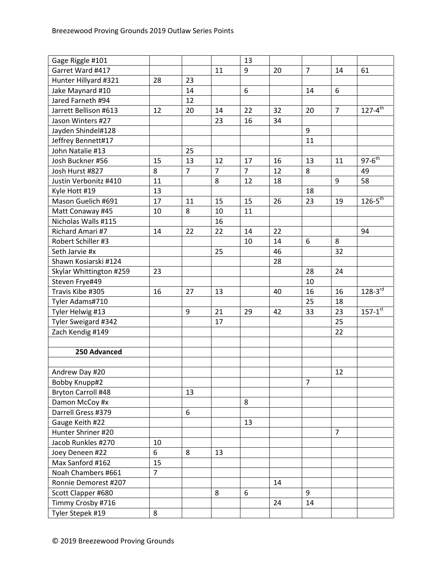| Gage Riggle #101        |                |                |                | 13             |    |                |                |                |
|-------------------------|----------------|----------------|----------------|----------------|----|----------------|----------------|----------------|
| Garret Ward #417        |                |                | 11             | 9              | 20 | $\overline{7}$ | 14             | 61             |
| Hunter Hillyard #321    | 28             | 23             |                |                |    |                |                |                |
| Jake Maynard #10        |                | 14             |                | 6              |    | 14             | 6              |                |
| Jared Farneth #94       |                | 12             |                |                |    |                |                |                |
| Jarrett Bellison #613   | 12             | 20             | 14             | 22             | 32 | 20             | $\overline{7}$ | $127 - 4^{th}$ |
| Jason Winters #27       |                |                | 23             | 16             | 34 |                |                |                |
| Jayden Shindel#128      |                |                |                |                |    | 9              |                |                |
| Jeffrey Bennett#17      |                |                |                |                |    | 11             |                |                |
| John Natalie #13        |                | 25             |                |                |    |                |                |                |
| Josh Buckner #56        | 15             | 13             | 12             | 17             | 16 | 13             | 11             | $97-6^{th}$    |
| Josh Hurst #827         | 8              | $\overline{7}$ | $\overline{7}$ | $\overline{7}$ | 12 | 8              |                | 49             |
| Justin Verbonitz #410   | 11             |                | 8              | 12             | 18 |                | 9              | 58             |
| Kyle Hott #19           | 13             |                |                |                |    | 18             |                |                |
| Mason Guelich #691      | 17             | 11             | 15             | 15             | 26 | 23             | 19             | $126 - 5^{th}$ |
| Matt Conaway #45        | 10             | 8              | 10             | 11             |    |                |                |                |
| Nicholas Walls #115     |                |                | 16             |                |    |                |                |                |
| Richard Amari #7        | 14             | 22             | 22             | 14             | 22 |                |                | 94             |
| Robert Schiller #3      |                |                |                | 10             | 14 | 6              | 8              |                |
| Seth Jarvie #x          |                |                | 25             |                | 46 |                | 32             |                |
| Shawn Kosiarski #124    |                |                |                |                | 28 |                |                |                |
| Skylar Whittington #259 | 23             |                |                |                |    | 28             | 24             |                |
| Steven Frye#49          |                |                |                |                |    | 10             |                |                |
| Travis Kibe #305        | 16             | 27             | 13             |                | 40 | 16             | 16             | $128 - 3^{rd}$ |
| Tyler Adams#710         |                |                |                |                |    | 25             | 18             |                |
| Tyler Helwig #13        |                | 9              | 21             | 29             | 42 | 33             | 23             | $157 - 1^{st}$ |
| Tyler Sweigard #342     |                |                | 17             |                |    |                | 25             |                |
| Zach Kendig #149        |                |                |                |                |    |                | 22             |                |
|                         |                |                |                |                |    |                |                |                |
| 250 Advanced            |                |                |                |                |    |                |                |                |
|                         |                |                |                |                |    |                |                |                |
| Andrew Day #20          |                |                |                |                |    |                | 12             |                |
| Bobby Knupp#2           |                |                |                |                |    | $\overline{7}$ |                |                |
| Bryton Carroll #48      |                | 13             |                |                |    |                |                |                |
| Damon McCoy #x          |                |                |                | 8              |    |                |                |                |
| Darrell Gress #379      |                | 6              |                |                |    |                |                |                |
| Gauge Keith #22         |                |                |                | 13             |    |                |                |                |
| Hunter Shriner #20      |                |                |                |                |    |                | $\overline{7}$ |                |
| Jacob Runkles #270      | 10             |                |                |                |    |                |                |                |
| Joey Deneen #22         | 6              | 8              | 13             |                |    |                |                |                |
| Max Sanford #162        | 15             |                |                |                |    |                |                |                |
| Noah Chambers #661      | $\overline{7}$ |                |                |                |    |                |                |                |
| Ronnie Demorest #207    |                |                |                |                | 14 |                |                |                |
| Scott Clapper #680      |                |                | 8              | 6              |    | 9              |                |                |
| Timmy Crosby #716       |                |                |                |                | 24 | 14             |                |                |
| Tyler Stepek #19        | 8              |                |                |                |    |                |                |                |
|                         |                |                |                |                |    |                |                |                |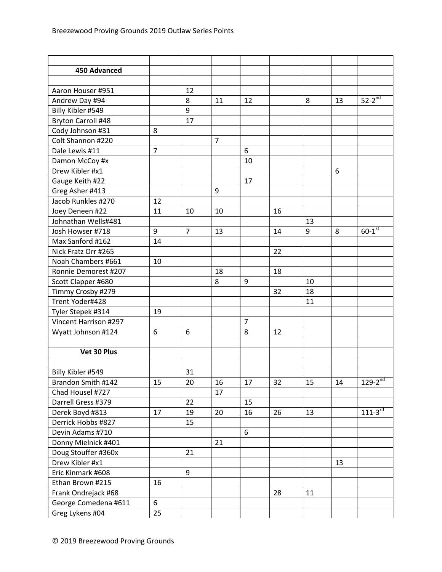| 450 Advanced              |                |                |                |                |    |    |    |                      |
|---------------------------|----------------|----------------|----------------|----------------|----|----|----|----------------------|
|                           |                |                |                |                |    |    |    |                      |
| Aaron Houser #951         |                | 12             |                |                |    |    |    |                      |
| Andrew Day #94            |                | 8              | 11             | 12             |    | 8  | 13 | $52-2^{nd}$          |
| Billy Kibler #549         |                | 9              |                |                |    |    |    |                      |
| <b>Bryton Carroll #48</b> |                | 17             |                |                |    |    |    |                      |
| Cody Johnson #31          | 8              |                |                |                |    |    |    |                      |
| Colt Shannon #220         |                |                | $\overline{7}$ |                |    |    |    |                      |
| Dale Lewis #11            | $\overline{7}$ |                |                | 6              |    |    |    |                      |
| Damon McCoy #x            |                |                |                | 10             |    |    |    |                      |
| Drew Kibler #x1           |                |                |                |                |    |    | 6  |                      |
| Gauge Keith #22           |                |                |                | 17             |    |    |    |                      |
| Greg Asher #413           |                |                | 9              |                |    |    |    |                      |
| Jacob Runkles #270        | 12             |                |                |                |    |    |    |                      |
| Joey Deneen #22           | 11             | 10             | 10             |                | 16 |    |    |                      |
| Johnathan Wells#481       |                |                |                |                |    | 13 |    |                      |
| Josh Howser #718          | 9              | $\overline{7}$ | 13             |                | 14 | 9  | 8  | $60-1$ <sup>st</sup> |
| Max Sanford #162          | 14             |                |                |                |    |    |    |                      |
| Nick Fratz Orr #265       |                |                |                |                | 22 |    |    |                      |
| Noah Chambers #661        | 10             |                |                |                |    |    |    |                      |
| Ronnie Demorest #207      |                |                | 18             |                | 18 |    |    |                      |
| Scott Clapper #680        |                |                | 8              | 9              |    | 10 |    |                      |
| Timmy Crosby #279         |                |                |                |                | 32 | 18 |    |                      |
| Trent Yoder#428           |                |                |                |                |    | 11 |    |                      |
| Tyler Stepek #314         | 19             |                |                |                |    |    |    |                      |
| Vincent Harrison #297     |                |                |                | $\overline{7}$ |    |    |    |                      |
| Wyatt Johnson #124        | 6              | 6              |                | 8              | 12 |    |    |                      |
|                           |                |                |                |                |    |    |    |                      |
| Vet 30 Plus               |                |                |                |                |    |    |    |                      |
|                           |                |                |                |                |    |    |    |                      |
| Billy Kibler #549         |                | 31             |                |                |    |    |    |                      |
| Brandon Smith #142        | 15             | 20             | 16             | 17             | 32 | 15 | 14 | $129 - 2^{nd}$       |
| Chad Housel #727          |                |                | 17             |                |    |    |    |                      |
| Darrell Gress #379        |                | 22             |                | 15             |    |    |    |                      |
| Derek Boyd #813           | 17             | 19             | 20             | 16             | 26 | 13 |    | $111 - 3^{rd}$       |
| Derrick Hobbs #827        |                | 15             |                |                |    |    |    |                      |
| Devin Adams #710          |                |                |                | 6              |    |    |    |                      |
| Donny Mielnick #401       |                |                | 21             |                |    |    |    |                      |
| Doug Stouffer #360x       |                | 21             |                |                |    |    |    |                      |
| Drew Kibler #x1           |                |                |                |                |    |    | 13 |                      |
| Eric Kinmark #608         |                | 9              |                |                |    |    |    |                      |
| Ethan Brown #215          | 16             |                |                |                |    |    |    |                      |
| Frank Ondrejack #68       |                |                |                |                | 28 | 11 |    |                      |
| George Comedena #611      | 6              |                |                |                |    |    |    |                      |
| Greg Lykens #04           | 25             |                |                |                |    |    |    |                      |
|                           |                |                |                |                |    |    |    |                      |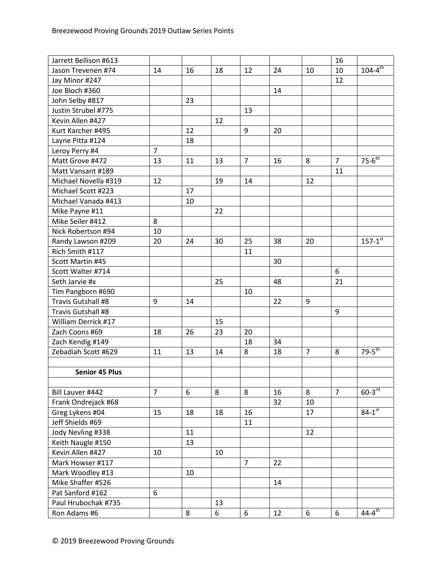| Jarrett Bellison #613 |                |    |    |                |    |                | 16             |                        |
|-----------------------|----------------|----|----|----------------|----|----------------|----------------|------------------------|
| Jason Trevenen #74    | 14             | 16 | 18 | 12             | 24 | 10             | 10             | $104 - 4^{\text{th}}$  |
| Jay Minor #247        |                |    |    |                |    |                | 12             |                        |
| Joe Bloch #360        |                |    |    |                | 14 |                |                |                        |
| John Selby #817       |                | 23 |    |                |    |                |                |                        |
| Justin Strubel #775   |                |    |    | 13             |    |                |                |                        |
| Kevin Allen #427      |                |    | 12 |                |    |                |                |                        |
| Kurt Karcher #495     |                | 12 |    | 9              | 20 |                |                |                        |
| Layne Pitta #124      |                | 18 |    |                |    |                |                |                        |
| Leroy Perry #4        | $\overline{7}$ |    |    |                |    |                |                |                        |
| Matt Grove #472       | 13             | 11 | 13 | $\overline{7}$ | 16 | 8              | $\overline{7}$ | $75-6$ <sup>th</sup>   |
| Matt Vansant #189     |                |    |    |                |    |                | 11             |                        |
| Michael Novella #319  | 12             |    | 19 | 14             |    | 12             |                |                        |
| Michael Scott #223    |                | 17 |    |                |    |                |                |                        |
| Michael Vanada #413   |                | 10 |    |                |    |                |                |                        |
| Mike Payne #11        |                |    | 22 |                |    |                |                |                        |
| Mike Seiler #412      | 8              |    |    |                |    |                |                |                        |
| Nick Robertson #94    | 10             |    |    |                |    |                |                |                        |
| Randy Lawson #209     | 20             | 24 | 30 | 25             | 38 | 20             |                | $157 - 1^{st}$         |
| Rich Smith #117       |                |    |    | 11             |    |                |                |                        |
| Scott Martin #45      |                |    |    |                | 30 |                |                |                        |
| Scott Walter #714     |                |    |    |                |    |                | 6              |                        |
| Seth Jarvie #x        |                |    | 25 |                | 48 |                | 21             |                        |
| Tim Pangborn #690     |                |    |    | 10             |    |                |                |                        |
| Travis Gutshall #8    | 9              | 14 |    |                | 22 | 9              |                |                        |
| Travis Gutshall #8    |                |    |    |                |    |                | 9              |                        |
| William Derrick #17   |                |    | 15 |                |    |                |                |                        |
| Zach Coons #69        | 18             | 26 | 23 | 20             |    |                |                |                        |
| Zach Kendig #149      |                |    |    | 18             | 34 |                |                |                        |
| Zebadiah Scott #629   | 11             | 13 | 14 | 8              | 18 | $\overline{7}$ | 8              | $79 - 5$ <sup>th</sup> |
|                       |                |    |    |                |    |                |                |                        |
| <b>Senior 45 Plus</b> |                |    |    |                |    |                |                |                        |
|                       |                |    |    |                |    |                |                |                        |
| Bill Lauver #442      | $\overline{7}$ | 6  | 8  | 8              | 16 | 8              | $\overline{7}$ | $60-3$ rd              |
| Frank Ondrejack #68   |                |    |    |                | 32 | 10             |                |                        |
| Greg Lykens #04       | 15             | 18 | 18 | 16             |    | 17             |                | $84 - 1^{st}$          |
| Jeff Shields #69      |                |    |    | 11             |    |                |                |                        |
| Jody Nevling #338     |                | 11 |    |                |    | 12             |                |                        |
| Keith Naugle #150     |                | 13 |    |                |    |                |                |                        |
| Kevin Allen #427      | 10             |    | 10 |                |    |                |                |                        |
| Mark Howser #117      |                |    |    | $\overline{7}$ | 22 |                |                |                        |
| Mark Woodley #13      |                | 10 |    |                |    |                |                |                        |
| Mike Shaffer #526     |                |    |    |                | 14 |                |                |                        |
| Pat Sanford #162      | 6              |    |    |                |    |                |                |                        |
| Paul Hrubochak #735   |                |    | 13 |                |    |                |                |                        |
| Ron Adams #6          |                | 8  | 6  | 6              | 12 | 6              | 6              | $44-4^{\text{th}}$     |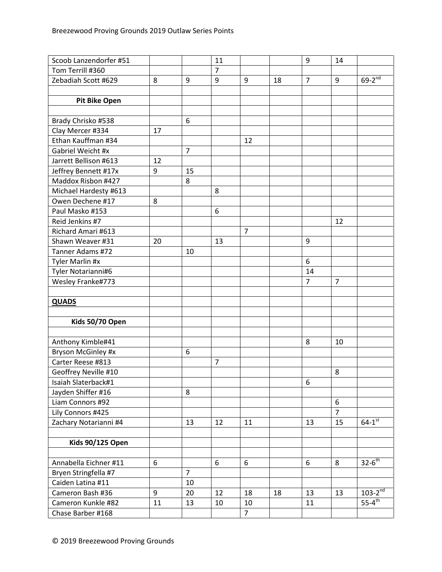| Scoob Lanzendorfer #51  |    |                | 11               |                |    | 9              | 14             |                      |
|-------------------------|----|----------------|------------------|----------------|----|----------------|----------------|----------------------|
| Tom Terrill #360        |    |                | $\overline{7}$   |                |    |                |                |                      |
| Zebadiah Scott #629     | 8  | 9              | 9                | 9              | 18 | $\overline{7}$ | 9              | $69-2^{nd}$          |
|                         |    |                |                  |                |    |                |                |                      |
| <b>Pit Bike Open</b>    |    |                |                  |                |    |                |                |                      |
|                         |    |                |                  |                |    |                |                |                      |
| Brady Chrisko #538      |    | 6              |                  |                |    |                |                |                      |
| Clay Mercer #334        | 17 |                |                  |                |    |                |                |                      |
| Ethan Kauffman #34      |    |                |                  | 12             |    |                |                |                      |
| Gabriel Weicht #x       |    | $\overline{7}$ |                  |                |    |                |                |                      |
| Jarrett Bellison #613   | 12 |                |                  |                |    |                |                |                      |
| Jeffrey Bennett #17x    | 9  | 15             |                  |                |    |                |                |                      |
| Maddox Risbon #427      |    | 8              |                  |                |    |                |                |                      |
| Michael Hardesty #613   |    |                | 8                |                |    |                |                |                      |
| Owen Dechene #17        | 8  |                |                  |                |    |                |                |                      |
| Paul Masko #153         |    |                | $\boldsymbol{6}$ |                |    |                |                |                      |
| Reid Jenkins #7         |    |                |                  |                |    |                | 12             |                      |
| Richard Amari #613      |    |                |                  | $\overline{7}$ |    |                |                |                      |
| Shawn Weaver #31        | 20 |                | 13               |                |    | 9              |                |                      |
| Tanner Adams #72        |    | 10             |                  |                |    |                |                |                      |
| Tyler Marlin #x         |    |                |                  |                |    | 6              |                |                      |
| Tyler Notarianni#6      |    |                |                  |                |    | 14             |                |                      |
| Wesley Franke#773       |    |                |                  |                |    | $\overline{7}$ | $\overline{7}$ |                      |
|                         |    |                |                  |                |    |                |                |                      |
| <b>QUADS</b>            |    |                |                  |                |    |                |                |                      |
|                         |    |                |                  |                |    |                |                |                      |
| Kids 50/70 Open         |    |                |                  |                |    |                |                |                      |
|                         |    |                |                  |                |    |                |                |                      |
| Anthony Kimble#41       |    |                |                  |                |    | 8              | 10             |                      |
| Bryson McGinley #x      |    | 6              |                  |                |    |                |                |                      |
| Carter Reese #813       |    |                | $\overline{7}$   |                |    |                |                |                      |
| Geoffrey Neville #10    |    |                |                  |                |    |                | 8              |                      |
| Isaiah Slaterback#1     |    |                |                  |                |    | 6              |                |                      |
| Jayden Shiffer #16      |    | 8              |                  |                |    |                |                |                      |
| Liam Connors #92        |    |                |                  |                |    |                | 6              |                      |
| Lily Connors #425       |    |                |                  |                |    |                | $\overline{7}$ |                      |
| Zachary Notarianni #4   |    | 13             | 12               | 11             |    | 13             | 15             | $64-1^{st}$          |
|                         |    |                |                  |                |    |                |                |                      |
| <b>Kids 90/125 Open</b> |    |                |                  |                |    |                |                |                      |
|                         |    |                |                  |                |    |                |                |                      |
| Annabella Eichner #11   | 6  |                | 6                | 6              |    | 6              | 8              | $32-6$ <sup>th</sup> |
| Bryen Stringfella #7    |    | $\overline{7}$ |                  |                |    |                |                |                      |
| Caiden Latina #11       |    | 10             |                  |                |    |                |                |                      |
| Cameron Bash #36        | 9  | 20             | 12               | 18             | 18 | 13             | 13             | $103-2^{nd}$         |
| Cameron Kunkle #82      | 11 | 13             | 10               | 10             |    | 11             |                | $55-4$ <sup>th</sup> |
| Chase Barber #168       |    |                |                  | $\overline{7}$ |    |                |                |                      |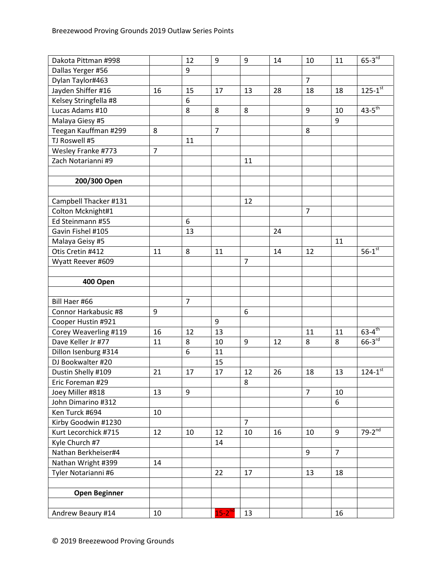| Dakota Pittman #998   |                | 12             | 9              | 9              | 14 | 10             | 11             | $65 - 3$ <sup>rd</sup> |
|-----------------------|----------------|----------------|----------------|----------------|----|----------------|----------------|------------------------|
| Dallas Yerger #56     |                | 9              |                |                |    |                |                |                        |
| Dylan Taylor#463      |                |                |                |                |    | $\overline{7}$ |                |                        |
| Jayden Shiffer #16    | 16             | 15             | 17             | 13             | 28 | 18             | 18             | $125 - 1^{st}$         |
| Kelsey Stringfella #8 |                | 6              |                |                |    |                |                |                        |
| Lucas Adams #10       |                | 8              | 8              | 8              |    | 9              | 10             | $43-5^{\text{th}}$     |
| Malaya Giesy #5       |                |                |                |                |    |                | 9              |                        |
| Teegan Kauffman #299  | 8              |                | $\overline{7}$ |                |    | 8              |                |                        |
| TJ Roswell #5         |                | 11             |                |                |    |                |                |                        |
| Wesley Franke #773    | $\overline{7}$ |                |                |                |    |                |                |                        |
| Zach Notarianni #9    |                |                |                | 11             |    |                |                |                        |
|                       |                |                |                |                |    |                |                |                        |
| 200/300 Open          |                |                |                |                |    |                |                |                        |
|                       |                |                |                |                |    |                |                |                        |
| Campbell Thacker #131 |                |                |                | 12             |    |                |                |                        |
| Colton Mcknight#1     |                |                |                |                |    | $\overline{7}$ |                |                        |
| Ed Steinmann #55      |                | 6              |                |                |    |                |                |                        |
| Gavin Fishel #105     |                | 13             |                |                | 24 |                |                |                        |
| Malaya Geisy #5       |                |                |                |                |    |                | 11             |                        |
| Otis Cretin #412      | 11             | 8              | 11             |                | 14 | 12             |                | $56-1$ <sup>st</sup>   |
| Wyatt Reever #609     |                |                |                | $\overline{7}$ |    |                |                |                        |
|                       |                |                |                |                |    |                |                |                        |
| 400 Open              |                |                |                |                |    |                |                |                        |
|                       |                |                |                |                |    |                |                |                        |
| Bill Haer #66         |                | $\overline{7}$ |                |                |    |                |                |                        |
| Connor Harkabusic #8  | 9              |                |                | 6              |    |                |                |                        |
| Cooper Hustin #921    |                |                | 9              |                |    |                |                |                        |
| Corey Weaverling #119 | 16             | 12             | 13             |                |    | 11             | 11             | $63 - 4$ <sup>th</sup> |
| Dave Keller Jr #77    | 11             | 8              | 10             | 9              | 12 | 8              | 8              | $66-3$ <sup>rd</sup>   |
| Dillon Isenburg #314  |                | 6              | 11             |                |    |                |                |                        |
| DJ Bookwalter #20     |                |                | 15             |                |    |                |                |                        |
| Dustin Shelly #109    | 21             | 17             | 17             | 12             | 26 | 18             | 13             | $124 - 1^{st}$         |
| Eric Foreman #29      |                |                |                | 8              |    |                |                |                        |
| Joey Miller #818      | 13             | 9              |                |                |    | $\overline{7}$ | 10             |                        |
| John Dimarino #312    |                |                |                |                |    |                | 6              |                        |
| Ken Turck #694        | 10             |                |                |                |    |                |                |                        |
| Kirby Goodwin #1230   |                |                |                | $\overline{7}$ |    |                |                |                        |
| Kurt Lecorchick #715  | 12             | 10             | 12             | 10             | 16 | 10             | 9              | $79-2^{nd}$            |
| Kyle Church #7        |                |                | 14             |                |    |                |                |                        |
| Nathan Berkheiser#4   |                |                |                |                |    | 9              | $\overline{7}$ |                        |
| Nathan Wright #399    | 14             |                |                |                |    |                |                |                        |
| Tyler Notarianni #6   |                |                | 22             | 17             |    | 13             | 18             |                        |
|                       |                |                |                |                |    |                |                |                        |
| <b>Open Beginner</b>  |                |                |                |                |    |                |                |                        |
|                       |                |                |                |                |    |                |                |                        |
| Andrew Beaury #14     | 10             |                | $15-2^{nd}$    | 13             |    |                | 16             |                        |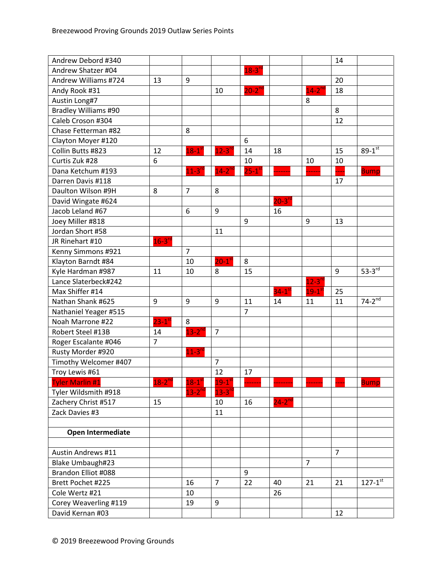| Andrew Debord #340          |                |                      |                       |                      |                      |                      | 14             |                |
|-----------------------------|----------------|----------------------|-----------------------|----------------------|----------------------|----------------------|----------------|----------------|
| Andrew Shatzer #04          |                |                      |                       | $18-3$ <sup>rd</sup> |                      |                      |                |                |
| Andrew Williams #724        | 13             | 9                    |                       |                      |                      |                      | 20             |                |
| Andy Rook #31               |                |                      | 10                    | $20 - 2^{nd}$        |                      | $14 - 2^{nc}$        | 18             |                |
| Austin Long#7               |                |                      |                       |                      |                      | 8                    |                |                |
| <b>Bradley Williams #90</b> |                |                      |                       |                      |                      |                      | 8              |                |
| Caleb Croson #304           |                |                      |                       |                      |                      |                      | 12             |                |
| Chase Fetterman #82         |                | 8                    |                       |                      |                      |                      |                |                |
| Clayton Moyer #120          |                |                      |                       | 6                    |                      |                      |                |                |
| Collin Butts #823           | 12             | $18-1$ <sup>st</sup> | $12 - 3$ <sup>r</sup> | 14                   | 18                   |                      | 15             | $89 - 1^{st}$  |
| Curtis Zuk #28              | 6              |                      |                       | 10                   |                      | 10                   | 10             |                |
| Dana Ketchum #193           |                | $11-3$ <sup>rd</sup> | $14-2^{nd}$           | $25-1$ <sup>st</sup> |                      |                      |                | <b>Bump</b>    |
| Darren Davis #118           |                |                      |                       |                      |                      |                      | 17             |                |
| Daulton Wilson #9H          | 8              | $7\overline{ }$      | 8                     |                      |                      |                      |                |                |
| David Wingate #624          |                |                      |                       |                      | $20-3$ <sup>rd</sup> |                      |                |                |
| Jacob Leland #67            |                | 6                    | 9                     |                      | 16                   |                      |                |                |
| Joey Miller #818            |                |                      |                       | 9                    |                      | 9                    | 13             |                |
| Jordan Short #58            |                |                      | 11                    |                      |                      |                      |                |                |
| JR Rinehart #10             | $16 - 3^{rd}$  |                      |                       |                      |                      |                      |                |                |
| Kenny Simmons #921          |                | $\overline{7}$       |                       |                      |                      |                      |                |                |
| Klayton Barndt #84          |                | 10                   | $20-1$ <sup>st</sup>  | 8                    |                      |                      |                |                |
| Kyle Hardman #987           | 11             | 10                   | 8                     | 15                   |                      |                      | 9              | $53-3rd$       |
| Lance Slaterbeck#242        |                |                      |                       |                      |                      | $12-3$ <sup>rd</sup> |                |                |
| Max Shiffer #14             |                |                      |                       |                      | 34- $1^{\rm st}$     | $19-1$ <sup>st</sup> | 25             |                |
| Nathan Shank #625           | 9              | 9                    | 9                     | 11                   | 14                   | 11                   | 11             | $74-2^{nd}$    |
| Nathaniel Yeager #515       |                |                      |                       | $\overline{7}$       |                      |                      |                |                |
| Noah Marrone #22            | $23-1$ st      | 8                    |                       |                      |                      |                      |                |                |
| Robert Steel #13B           | 14             | $13-2$ <sup>nd</sup> | $\overline{7}$        |                      |                      |                      |                |                |
| Roger Escalante #046        | $\overline{7}$ |                      |                       |                      |                      |                      |                |                |
| Rusty Morder #920           |                | $11-3$ <sup>rd</sup> |                       |                      |                      |                      |                |                |
| Timothy Welcomer #407       |                |                      | $\overline{7}$        |                      |                      |                      |                |                |
| Troy Lewis #61              |                |                      | 12                    | 17                   |                      |                      |                |                |
| <b>Tyler Marlin #1</b>      | $18-2^{nd}$    | $18-1$ <sup>st</sup> | $19-1$ <sup>st</sup>  |                      |                      |                      |                | <b>Bump</b>    |
| Tyler Wildsmith #918        |                | $13-2^{nd}$          | $13 - 3^{10}$         |                      |                      |                      |                |                |
| Zachery Christ #517         | 15             |                      | 10                    | 16                   | $24-2^{nd}$          |                      |                |                |
| Zack Davies #3              |                |                      | 11                    |                      |                      |                      |                |                |
|                             |                |                      |                       |                      |                      |                      |                |                |
| <b>Open Intermediate</b>    |                |                      |                       |                      |                      |                      |                |                |
|                             |                |                      |                       |                      |                      |                      |                |                |
| <b>Austin Andrews #11</b>   |                |                      |                       |                      |                      |                      | $\overline{7}$ |                |
| Blake Umbaugh#23            |                |                      |                       |                      |                      | $\overline{7}$       |                |                |
| Brandon Elliot #088         |                |                      |                       | 9                    |                      |                      |                |                |
| Brett Pochet #225           |                | 16                   | $\overline{7}$        | 22                   | 40                   | 21                   | 21             | $127 - 1^{st}$ |
| Cole Wertz #21              |                | 10                   |                       |                      | 26                   |                      |                |                |
| Corey Weaverling #119       |                | 19                   | 9                     |                      |                      |                      |                |                |
| David Kernan #03            |                |                      |                       |                      |                      |                      | 12             |                |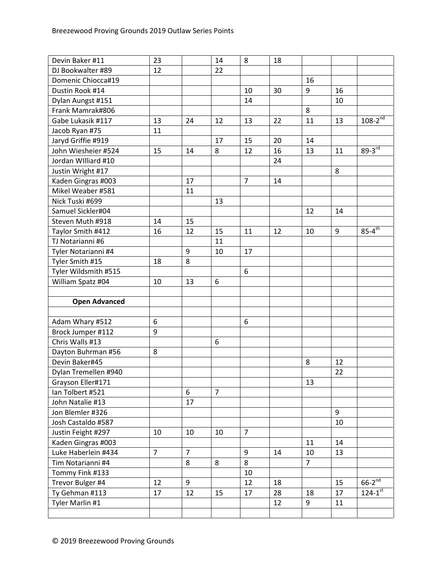| Devin Baker #11                      | 23             |                | 14             | 8              | 18 |                |    |                                  |
|--------------------------------------|----------------|----------------|----------------|----------------|----|----------------|----|----------------------------------|
| DJ Bookwalter #89                    | 12             |                | 22             |                |    |                |    |                                  |
| Domenic Chiocca#19                   |                |                |                |                |    | 16             |    |                                  |
| Dustin Rook #14                      |                |                |                | 10             | 30 | 9              | 16 |                                  |
| Dylan Aungst #151                    |                |                |                | 14             |    |                | 10 |                                  |
| Frank Mamrak#806                     |                |                |                |                |    | 8              |    |                                  |
| Gabe Lukasik #117                    | 13             | 24             | 12             | 13             | 22 | 11             | 13 | $108 - 2^{\overline{\text{nd}}}$ |
| Jacob Ryan #75                       | 11             |                |                |                |    |                |    |                                  |
| Jaryd Griffie #919                   |                |                | 17             | 15             | 20 | 14             |    |                                  |
| John Wiesheier #524                  | 15             | 14             | 8              | 12             | 16 | 13             | 11 | $89 - 3^{rd}$                    |
| Jordan Williard #10                  |                |                |                |                | 24 |                |    |                                  |
| Justin Wright #17                    |                |                |                |                |    |                | 8  |                                  |
| Kaden Gingras #003                   |                | 17             |                | $\overline{7}$ | 14 |                |    |                                  |
| Mikel Weaber #581                    |                | 11             |                |                |    |                |    |                                  |
| Nick Tuski #699                      |                |                | 13             |                |    |                |    |                                  |
| Samuel Sickler#04                    |                |                |                |                |    | 12             | 14 |                                  |
| Steven Muth #918                     | 14             | 15             |                |                |    |                |    |                                  |
| Taylor Smith #412                    | 16             | 12             | 15             | 11             | 12 | 10             | 9  | $85 - 4$ <sup>th</sup>           |
| TJ Notarianni #6                     |                |                | 11             |                |    |                |    |                                  |
| Tyler Notarianni #4                  |                | 9              | 10             | 17             |    |                |    |                                  |
| Tyler Smith #15                      | 18             | 8              |                |                |    |                |    |                                  |
| Tyler Wildsmith #515                 |                |                |                | 6              |    |                |    |                                  |
| William Spatz #04                    | 10             | 13             | 6              |                |    |                |    |                                  |
|                                      |                |                |                |                |    |                |    |                                  |
|                                      |                |                |                |                |    |                |    |                                  |
|                                      |                |                |                |                |    |                |    |                                  |
| <b>Open Advanced</b>                 |                |                |                |                |    |                |    |                                  |
|                                      | 6              |                |                | 6              |    |                |    |                                  |
| Adam Whary #512<br>Brock Jumper #112 | 9              |                |                |                |    |                |    |                                  |
| Chris Walls #13                      |                |                | 6              |                |    |                |    |                                  |
| Dayton Buhrman #56                   | 8              |                |                |                |    |                |    |                                  |
| Devin Baker#45                       |                |                |                |                |    | 8              | 12 |                                  |
| Dylan Tremellen #940                 |                |                |                |                |    |                | 22 |                                  |
| Grayson Eller#171                    |                |                |                |                |    | 13             |    |                                  |
| Ian Tolbert #521                     |                | 6              | $\overline{7}$ |                |    |                |    |                                  |
| John Natalie #13                     |                | 17             |                |                |    |                |    |                                  |
| Jon Blemler #326                     |                |                |                |                |    |                | 9  |                                  |
| Josh Castaldo #587                   |                |                |                |                |    |                | 10 |                                  |
| Justin Feight #297                   | 10             | 10             | 10             | $\overline{7}$ |    |                |    |                                  |
| Kaden Gingras #003                   |                |                |                |                |    | 11             | 14 |                                  |
| Luke Haberlein #434                  | $\overline{7}$ | $\overline{7}$ |                | 9              | 14 | 10             | 13 |                                  |
| Tim Notarianni #4                    |                | 8              | 8              | 8              |    | $\overline{7}$ |    |                                  |
| Tommy Fink #133                      |                |                |                | 10             |    |                |    |                                  |
| Trevor Bulger #4                     | 12             | 9              |                | 12             | 18 |                | 15 | $66-2^{nd}$                      |
| Ty Gehman #113                       | 17             | 12             | 15             | 17             | 28 | 18             | 17 | $124 - 1^{st}$                   |
| Tyler Marlin #1                      |                |                |                |                | 12 | 9              | 11 |                                  |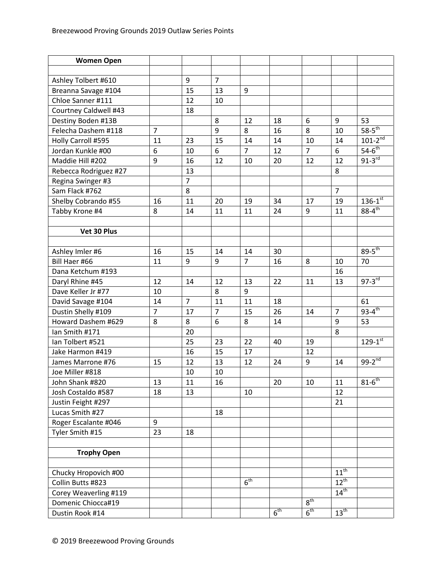| <b>Women Open</b>     |                |                |                |                 |                 |                 |                  |                        |
|-----------------------|----------------|----------------|----------------|-----------------|-----------------|-----------------|------------------|------------------------|
|                       |                |                |                |                 |                 |                 |                  |                        |
| Ashley Tolbert #610   |                | 9              | $\overline{7}$ |                 |                 |                 |                  |                        |
| Breanna Savage #104   |                | 15             | 13             | 9               |                 |                 |                  |                        |
| Chloe Sanner #111     |                | 12             | 10             |                 |                 |                 |                  |                        |
| Courtney Caldwell #43 |                | 18             |                |                 |                 |                 |                  |                        |
| Destiny Boden #13B    |                |                | 8              | 12              | 18              | 6               | 9                | 53                     |
| Felecha Dashem #118   | $\overline{7}$ |                | 9              | 8               | 16              | 8               | 10               | $58-5$ <sup>th</sup>   |
| Holly Carroll #595    | 11             | 23             | 15             | 14              | 14              | 10              | 14               | $101-2^{nd}$           |
| Jordan Kunkle #00     | 6              | 10             | 6              | $\overline{7}$  | 12              | $\overline{7}$  | 6                | $54-6^{\text{th}}$     |
| Maddie Hill #202      | 9              | 16             | 12             | 10              | 20              | 12              | 12               | $91-3^{rd}$            |
| Rebecca Rodriguez #27 |                | 13             |                |                 |                 |                 | 8                |                        |
| Regina Swinger #3     |                | $\overline{7}$ |                |                 |                 |                 |                  |                        |
| Sam Flack #762        |                | 8              |                |                 |                 |                 | $\overline{7}$   |                        |
| Shelby Cobrando #55   | 16             | 11             | 20             | 19              | 34              | 17              | 19               | $136 - 1^{st}$         |
| Tabby Krone #4        | 8              | 14             | 11             | 11              | 24              | 9               | 11               | $88 - 4$ <sup>th</sup> |
|                       |                |                |                |                 |                 |                 |                  |                        |
| Vet 30 Plus           |                |                |                |                 |                 |                 |                  |                        |
|                       |                |                |                |                 |                 |                 |                  |                        |
| Ashley Imler #6       | 16             | 15             | 14             | 14              | 30              |                 |                  | $89 - 5$ <sup>th</sup> |
| Bill Haer #66         | 11             | 9              | 9              | $\overline{7}$  | 16              | 8               | 10               | 70                     |
| Dana Ketchum #193     |                |                |                |                 |                 |                 | 16               |                        |
| Daryl Rhine #45       | 12             | 14             | 12             | 13              | 22              | 11              | 13               | $97 - 3^{rd}$          |
| Dave Keller Jr #77    | 10             |                | 8              | 9               |                 |                 |                  |                        |
| David Savage #104     | 14             | $\overline{7}$ | 11             | 11              | 18              |                 |                  | 61                     |
| Dustin Shelly #109    | $\overline{7}$ | 17             | $\overline{7}$ | 15              | 26              | 14              | $\overline{7}$   | $93 - 4^{th}$          |
| Howard Dashem #629    | 8              | 8              | 6              | 8               | 14              |                 | 9                | 53                     |
| Ian Smith #171        |                | 20             |                |                 |                 |                 | 8                |                        |
| Ian Tolbert #521      |                | 25             | 23             | 22              | 40              | 19              |                  | $129 - 1$ st           |
| Jake Harmon #419      |                | 16             | 15             | 17              |                 | 12              |                  |                        |
| James Marrone #76     | 15             | 12             | 13             | 12              | 24              | 9               | 14               | $99 - 2^{nd}$          |
| Joe Miller #818       |                | 10             | 10             |                 |                 |                 |                  |                        |
| John Shank #820       | 13             | 11             | 16             |                 | 20              | 10              | 11               | $81-6^{th}$            |
| Josh Costaldo #587    | 18             | 13             |                | 10              |                 |                 | 12               |                        |
| Justin Feight #297    |                |                |                |                 |                 |                 | 21               |                        |
| Lucas Smith #27       |                |                | 18             |                 |                 |                 |                  |                        |
| Roger Escalante #046  | 9              |                |                |                 |                 |                 |                  |                        |
| Tyler Smith #15       | 23             | 18             |                |                 |                 |                 |                  |                        |
|                       |                |                |                |                 |                 |                 |                  |                        |
| <b>Trophy Open</b>    |                |                |                |                 |                 |                 |                  |                        |
|                       |                |                |                |                 |                 |                 |                  |                        |
| Chucky Hropovich #00  |                |                |                |                 |                 |                 | $11^{th}$        |                        |
| Collin Butts #823     |                |                |                | 6 <sup>th</sup> |                 |                 | $12^{th}$        |                        |
| Corey Weaverling #119 |                |                |                |                 |                 |                 | $14^{\text{th}}$ |                        |
| Domenic Chiocca#19    |                |                |                |                 |                 | 8 <sup>th</sup> |                  |                        |
| Dustin Rook #14       |                |                |                |                 | 6 <sup>th</sup> | 6 <sup>th</sup> | $13^{\text{th}}$ |                        |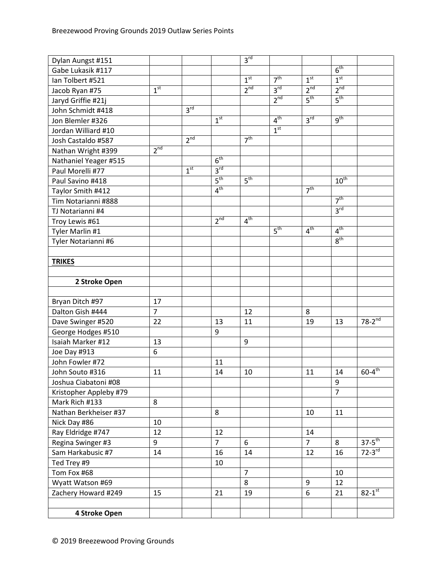| Dylan Aungst #151      |                 |                 |                 | 3 <sup>rd</sup> |                 |                 |                  |                        |
|------------------------|-----------------|-----------------|-----------------|-----------------|-----------------|-----------------|------------------|------------------------|
| Gabe Lukasik #117      |                 |                 |                 |                 |                 |                 | 6 <sup>th</sup>  |                        |
| Ian Tolbert #521       |                 |                 |                 | 1 <sup>st</sup> | 7 <sup>th</sup> | 1 <sup>st</sup> | 1 <sup>st</sup>  |                        |
| Jacob Ryan #75         | 1 <sup>st</sup> |                 |                 | $2^{nd}$        | 3 <sup>rd</sup> | 2 <sup>nd</sup> | 2 <sup>nd</sup>  |                        |
| Jaryd Griffie #21j     |                 |                 |                 |                 | 2 <sup>nd</sup> | 5 <sup>th</sup> | $5^{\text{th}}$  |                        |
| John Schmidt #418      |                 | 3 <sup>rd</sup> |                 |                 |                 |                 |                  |                        |
| Jon Blemler #326       |                 |                 | 1 <sup>st</sup> |                 | 4 <sup>th</sup> | 3 <sup>rd</sup> | 9 <sup>th</sup>  |                        |
| Jordan Williard #10    |                 |                 |                 |                 | 1 <sup>st</sup> |                 |                  |                        |
| Josh Castaldo #587     |                 | 2 <sup>nd</sup> |                 | 7 <sup>th</sup> |                 |                 |                  |                        |
| Nathan Wright #399     | 2 <sup>nd</sup> |                 |                 |                 |                 |                 |                  |                        |
| Nathaniel Yeager #515  |                 |                 | 6 <sup>th</sup> |                 |                 |                 |                  |                        |
| Paul Morelli #77       |                 | 1 <sup>st</sup> | 3 <sup>rd</sup> |                 |                 |                 |                  |                        |
| Paul Savino #418       |                 |                 | 5 <sup>th</sup> | 5 <sup>th</sup> |                 |                 | 10 <sup>th</sup> |                        |
| Taylor Smith #412      |                 |                 | 4 <sup>th</sup> |                 |                 | 7 <sup>th</sup> |                  |                        |
| Tim Notarianni #888    |                 |                 |                 |                 |                 |                 | 7 <sup>th</sup>  |                        |
| TJ Notarianni #4       |                 |                 |                 |                 |                 |                 | 3 <sup>rd</sup>  |                        |
| Troy Lewis #61         |                 |                 | 2 <sup>nd</sup> | 4 <sup>th</sup> |                 |                 |                  |                        |
| Tyler Marlin #1        |                 |                 |                 |                 | $5^{\text{th}}$ | 4 <sup>th</sup> | 4 <sup>th</sup>  |                        |
| Tyler Notarianni #6    |                 |                 |                 |                 |                 |                 | 8 <sup>th</sup>  |                        |
|                        |                 |                 |                 |                 |                 |                 |                  |                        |
| <b>TRIKES</b>          |                 |                 |                 |                 |                 |                 |                  |                        |
|                        |                 |                 |                 |                 |                 |                 |                  |                        |
| 2 Stroke Open          |                 |                 |                 |                 |                 |                 |                  |                        |
|                        |                 |                 |                 |                 |                 |                 |                  |                        |
| Bryan Ditch #97        | 17              |                 |                 |                 |                 |                 |                  |                        |
| Dalton Gish #444       | $\overline{7}$  |                 |                 | 12              |                 | 8               |                  |                        |
| Dave Swinger #520      | 22              |                 | 13              | 11              |                 | 19              | 13               | $78-2^{nd}$            |
| George Hodges #510     |                 |                 | 9               |                 |                 |                 |                  |                        |
| Isaiah Marker #12      | 13              |                 |                 | 9               |                 |                 |                  |                        |
| Joe Day #913           | 6               |                 |                 |                 |                 |                 |                  |                        |
| John Fowler #72        |                 |                 | 11              |                 |                 |                 |                  |                        |
| John Souto #316        | 11              |                 | 14              | 10              |                 | 11              | 14               | $60-4^{\text{th}}$     |
| Joshua Ciabatoni #08   |                 |                 |                 |                 |                 |                 | 9                |                        |
| Kristopher Appleby #79 |                 |                 |                 |                 |                 |                 | $\overline{7}$   |                        |
| Mark Rich #133         | 8               |                 |                 |                 |                 |                 |                  |                        |
| Nathan Berkheiser #37  |                 |                 | 8               |                 |                 | 10              | 11               |                        |
| Nick Day #86           | 10              |                 |                 |                 |                 |                 |                  |                        |
| Ray Eldridge #747      | 12              |                 | 12              |                 |                 | 14              |                  |                        |
| Regina Swinger #3      | 9               |                 | $\overline{7}$  | 6               |                 | $\overline{7}$  | 8                | $37-5^{th}$            |
| Sam Harkabusic #7      | 14              |                 | 16              | 14              |                 | 12              | 16               | $72-3$ <sup>rd</sup>   |
| Ted Trey #9            |                 |                 | 10              |                 |                 |                 |                  |                        |
| Tom Fox #68            |                 |                 |                 | $\overline{7}$  |                 |                 | 10               |                        |
| Wyatt Watson #69       |                 |                 |                 | 8               |                 | 9               | 12               |                        |
| Zachery Howard #249    | 15              |                 | 21              | 19              |                 | 6               | 21               | $82 - 1$ <sup>st</sup> |
|                        |                 |                 |                 |                 |                 |                 |                  |                        |
| 4 Stroke Open          |                 |                 |                 |                 |                 |                 |                  |                        |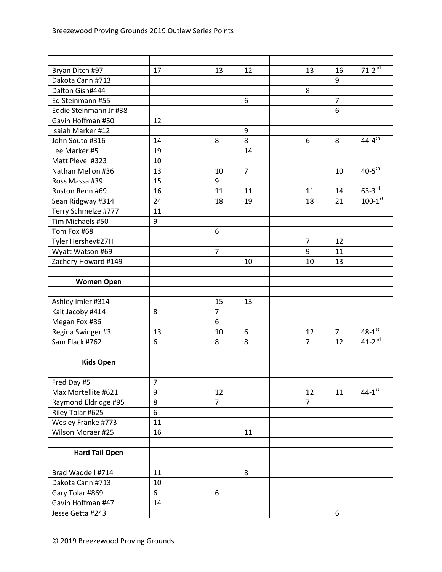| Bryan Ditch #97        | 17 | 13             | 12             | 13             | 16             | $71-2^{nd}$             |
|------------------------|----|----------------|----------------|----------------|----------------|-------------------------|
| Dakota Cann #713       |    |                |                |                | 9              |                         |
| Dalton Gish#444        |    |                |                | 8              |                |                         |
| Ed Steinmann #55       |    |                | 6              |                | $\overline{7}$ |                         |
| Eddie Steinmann Jr #38 |    |                |                |                | 6              |                         |
| Gavin Hoffman #50      | 12 |                |                |                |                |                         |
| Isaiah Marker #12      |    |                | 9              |                |                |                         |
| John Souto #316        | 14 | 8              | 8              | 6              | 8              | $44 - 4^{th}$           |
| Lee Marker #5          | 19 |                | 14             |                |                |                         |
| Matt Plevel #323       | 10 |                |                |                |                |                         |
| Nathan Mellon #36      | 13 | 10             | $\overline{7}$ |                | 10             | $40-5$ <sup>th</sup>    |
| Ross Massa #39         | 15 | 9              |                |                |                |                         |
| Ruston Renn #69        | 16 | 11             | 11             | 11             | 14             | $63-3$ <sup>rd</sup>    |
| Sean Ridgway #314      | 24 | 18             | 19             | 18             | 21             | $100 - 1$ <sup>st</sup> |
| Terry Schmelze #777    | 11 |                |                |                |                |                         |
| Tim Michaels #50       | 9  |                |                |                |                |                         |
| Tom Fox #68            |    | 6              |                |                |                |                         |
| Tyler Hershey#27H      |    |                |                | $\overline{7}$ | 12             |                         |
| Wyatt Watson #69       |    | $\overline{7}$ |                | 9              | 11             |                         |
| Zachery Howard #149    |    |                | 10             | 10             | 13             |                         |
|                        |    |                |                |                |                |                         |
| <b>Women Open</b>      |    |                |                |                |                |                         |
|                        |    |                |                |                |                |                         |
| Ashley Imler #314      |    | 15             | 13             |                |                |                         |
| Kait Jacoby #414       | 8  | $\overline{7}$ |                |                |                |                         |
| Megan Fox #86          |    | 6              |                |                |                |                         |
| Regina Swinger #3      | 13 | 10             | 6              | 12             | $\overline{7}$ | $48 - 1^{st}$           |
| Sam Flack #762         | 6  | 8              | 8              | $\overline{7}$ | 12             | $41-2^{nd}$             |
|                        |    |                |                |                |                |                         |
| <b>Kids Open</b>       |    |                |                |                |                |                         |
|                        |    |                |                |                |                |                         |
| Fred Day #5            | 7  |                |                |                |                |                         |
| Max Mortellite #621    | 9  | 12             |                | 12             | 11             | $44-1$ <sup>st</sup>    |
| Raymond Eldridge #95   | 8  | $\overline{7}$ |                | $\overline{7}$ |                |                         |
| Riley Tolar #625       | 6  |                |                |                |                |                         |
| Wesley Franke #773     | 11 |                |                |                |                |                         |
| Wilson Moraer #25      | 16 |                | 11             |                |                |                         |
|                        |    |                |                |                |                |                         |
| <b>Hard Tail Open</b>  |    |                |                |                |                |                         |
|                        |    |                |                |                |                |                         |
| Brad Waddell #714      | 11 |                | 8              |                |                |                         |
| Dakota Cann #713       | 10 |                |                |                |                |                         |
| Gary Tolar #869        | 6  | 6              |                |                |                |                         |
| Gavin Hoffman #47      | 14 |                |                |                |                |                         |
| Jesse Getta #243       |    |                |                |                | 6              |                         |